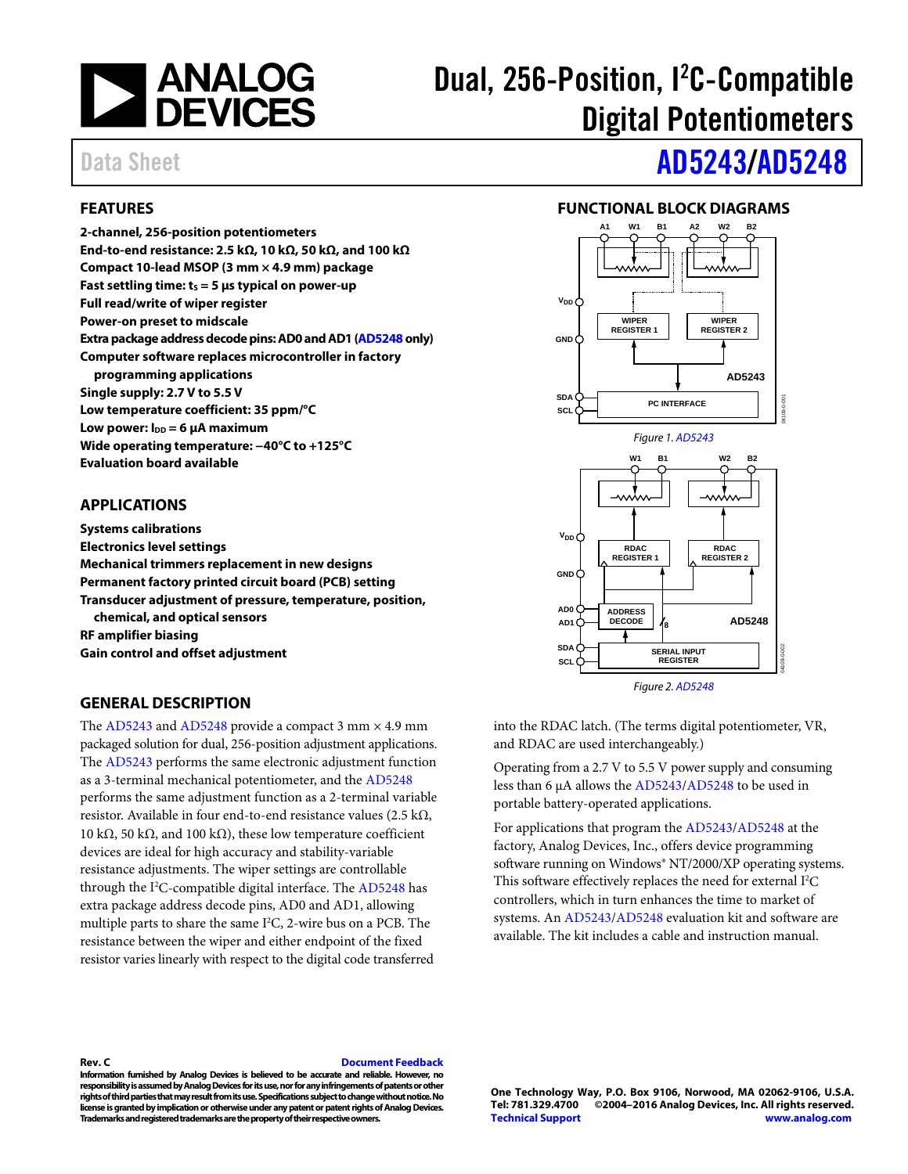

# Dual, 256-Position, I<sup>2</sup>C-Compatible Digital Potentiometers

### <span id="page-0-0"></span>**FEATURES**

**2-channel, 256-position potentiometers End-to-end resistance: 2.5 kΩ, 10 kΩ, 50 kΩ, and 100 kΩ Compact 10-lead MSOP (3 mm × 4.9 mm) package Fast settling time:**  $t_s = 5$  **µs typical on power-up Full read/write of wiper register Power-on preset to midscale Extra package address decode pins:AD0 and AD1 [\(AD5248](http://www.analog.com/AD5248?doc=AD5243_5248.pdf) only) Computer software replaces microcontroller in factory programming applications Single supply: 2.7 V to 5.5 V Low temperature coefficient: 35 ppm/°C**  Low power:  $I_{DD} = 6 \mu A$  maximum **Wide operating temperature: −40°C to +125°C Evaluation board available** 

### <span id="page-0-1"></span>**APPLICATIONS**

**Systems calibrations Electronics level settings Mechanical trimmers replacement in new designs Permanent factory printed circuit board (PCB) setting Transducer adjustment of pressure, temperature, position, chemical, and optical sensors RF amplifier biasing Gain control and offset adjustment** 

#### <span id="page-0-3"></span>**GENERAL DESCRIPTION**

The [AD5243](http://www.analog.com/AD5243?doc=AD5243_5248.pdf) an[d AD5248](http://www.analog.com/AD5248?doc=AD5243_5248.pdf) provide a compact 3 mm  $\times$  4.9 mm packaged solution for dual, 256-position adjustment applications. The [AD5243](http://www.analog.com/AD5243?doc=AD5243_5248.pdf) performs the same electronic adjustment function as a 3-terminal mechanical potentiometer, and the [AD5248](http://www.analog.com/AD5248?doc=AD5243_5248.pdf) performs the same adjustment function as a 2-terminal variable resistor. Available in four end-to-end resistance values (2.5 kΩ, 10 kΩ, 50 kΩ, and 100 kΩ), these low temperature coefficient devices are ideal for high accuracy and stability-variable resistance adjustments. The wiper settings are controllable through the I<sup>2</sup>C-compatible digital interface. Th[e AD5248](http://www.analog.com/AD5248?doc=AD5243_5248.pdf) has extra package address decode pins, AD0 and AD1, allowing multiple parts to share the same  $I^2C$ , 2-wire bus on a PCB. The resistance between the wiper and either endpoint of the fixed resistor varies linearly with respect to the digital code transferred

# Data Sheet **[AD5243](http://www.analog.com/AD5243?doc=AD5243_5248.pdf)[/AD5248](http://www.analog.com/AD5248?doc=AD5243_5248.pdf)**

### **FUNCTIONAL BLOCK DIAGRAMS**

<span id="page-0-2"></span>

*Figure 2[. AD5248](http://www.analog.com/AD5248?doc=AD5243_5248.pdf)*

into the RDAC latch. (The terms digital potentiometer, VR, and RDAC are used interchangeably.)

Operating from a 2.7 V to 5.5 V power supply and consuming less than 6 µA allows th[e AD5243](http://www.analog.com/AD5243?doc=AD5243_5248.pdf)[/AD5248](http://www.analog.com/AD5248?doc=AD5243_5248.pdf) to be used in portable battery-operated applications.

For applications that program th[e AD5243](http://www.analog.com/AD5243?doc=AD5243_5248.pdf)[/AD5248](http://www.analog.com/AD5248?doc=AD5243_5248.pdf) at the factory, Analog Devices, Inc., offers device programming software running on Windows® NT/2000/XP operating systems. This software effectively replaces the need for external  $I^2C$ controllers, which in turn enhances the time to market of systems. A[n AD5243](http://www.analog.com/AD5243?doc=AD5243_5248.pdf)[/AD5248](http://www.analog.com/AD5248?doc=AD5243_5248.pdf) evaluation kit and software are available. The kit includes a cable and instruction manual.

**Rev. C [Document Feedback](https://form.analog.com/Form_Pages/feedback/documentfeedback.aspx?doc=AD5243_5248.pdf&product=AD5243%20AD5248&rev=C)**

**Information furnished by Analog Devices is believed to be accurate and reliable. However, no responsibility is assumed by Analog Devices for its use, nor for any infringements of patents or other rights of third parties that may result from its use. Specifications subject to change without notice. No license is granted by implication or otherwise under any patent or patent rights of Analog Devices. Trademarks and registered trademarks are the property of their respective owners.**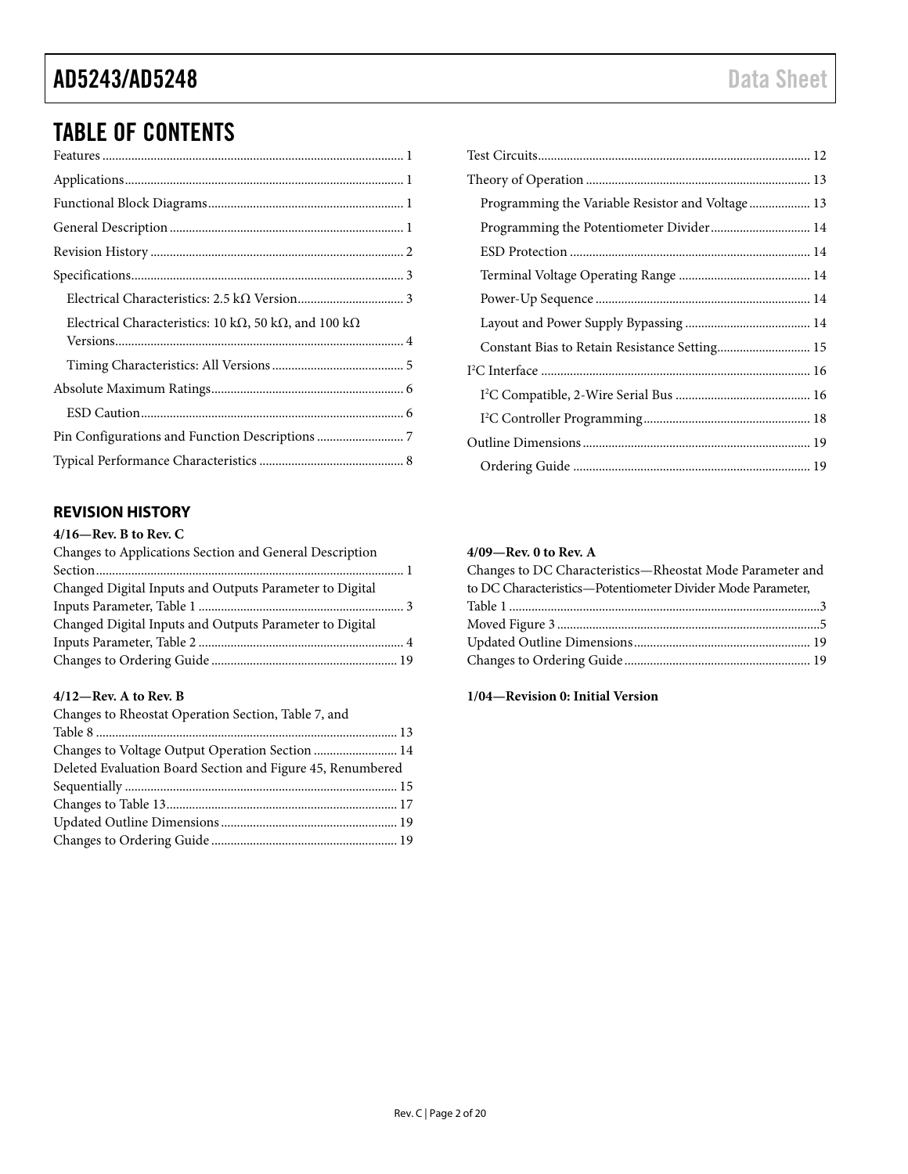## TABLE OF CONTENTS

### <span id="page-1-0"></span>**REVISION HISTORY**

### **4/16—Rev. B to Rev. C**

| Changes to Applications Section and General Description |  |
|---------------------------------------------------------|--|
|                                                         |  |
| Changed Digital Inputs and Outputs Parameter to Digital |  |
|                                                         |  |
| Changed Digital Inputs and Outputs Parameter to Digital |  |
|                                                         |  |
|                                                         |  |
|                                                         |  |

### **4/12—Rev. A to Rev. B**

| Changes to Rheostat Operation Section, Table 7, and        |  |
|------------------------------------------------------------|--|
|                                                            |  |
|                                                            |  |
| Deleted Evaluation Board Section and Figure 45, Renumbered |  |
|                                                            |  |
|                                                            |  |
|                                                            |  |
|                                                            |  |

| Programming the Variable Resistor and Voltage 13 |  |
|--------------------------------------------------|--|
| Programming the Potentiometer Divider 14         |  |
|                                                  |  |
|                                                  |  |
|                                                  |  |
|                                                  |  |
| Constant Bias to Retain Resistance Setting 15    |  |
|                                                  |  |
|                                                  |  |
|                                                  |  |
|                                                  |  |
|                                                  |  |

#### **4/09—Rev. 0 to Rev. A**

| Changes to DC Characteristics-Rheostat Mode Parameter and   |  |
|-------------------------------------------------------------|--|
| to DC Characteristics-Potentiometer Divider Mode Parameter, |  |
|                                                             |  |
|                                                             |  |
|                                                             |  |
|                                                             |  |
|                                                             |  |

### **1/04—Revision 0: Initial Version**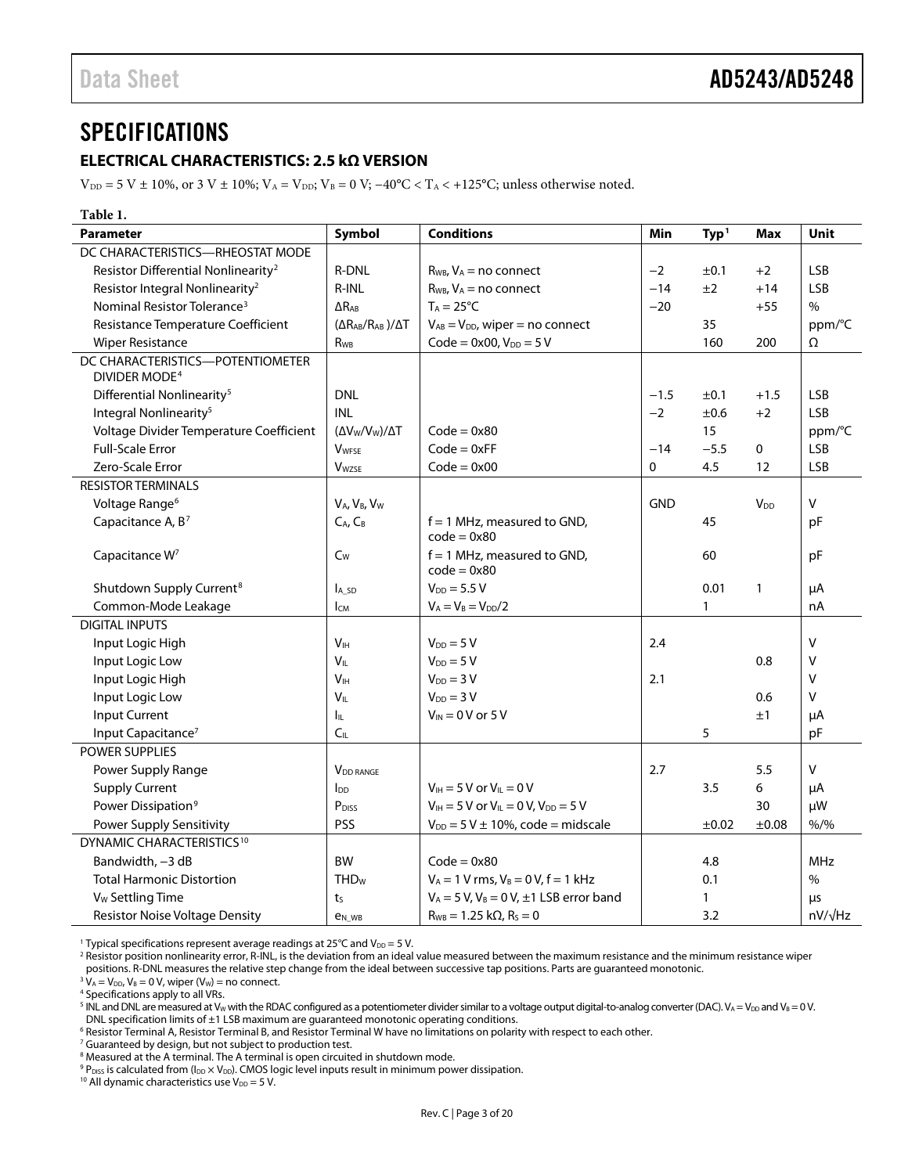### <span id="page-2-0"></span>**SPECIFICATIONS**

### <span id="page-2-1"></span>**ELECTRICAL CHARACTERISTICS: 2.5 kΩ VERSION**

 $V_{\text{DD}} = 5 V \pm 10\%$ , or 3 V  $\pm 10\%$ ;  $V_A = V_{\text{DD}}$ ;  $V_B = 0 V$ ;  $-40\degree C < T_A < +125\degree C$ ; unless otherwise noted.

<span id="page-2-2"></span>

| Table 1.                                                      |                                                  |                                                    |             |                  |                        |                |
|---------------------------------------------------------------|--------------------------------------------------|----------------------------------------------------|-------------|------------------|------------------------|----------------|
| <b>Parameter</b>                                              | Symbol                                           | <b>Conditions</b>                                  | Min         | Typ <sup>1</sup> | <b>Max</b>             | Unit           |
| DC CHARACTERISTICS-RHEOSTAT MODE                              |                                                  |                                                    |             |                  |                        |                |
| Resistor Differential Nonlinearity <sup>2</sup>               | <b>R-DNL</b>                                     | $R_{WB}$ , $V_A$ = no connect                      | $-2$        | ±0.1             | $+2$                   | <b>LSB</b>     |
| Resistor Integral Nonlinearity <sup>2</sup>                   | R-INL                                            | $R_{WB}$ , $V_A$ = no connect                      | $-14$       | ±2               | $+14$                  | <b>LSB</b>     |
| Nominal Resistor Tolerance <sup>3</sup>                       | $\Delta$ R <sub>AB</sub>                         | $T_A = 25^{\circ}C$                                | $-20$       |                  | $+55$                  | $\%$           |
| Resistance Temperature Coefficient                            | $(\Delta R_{AB}/R_{AB})/\Delta T$                | $V_{AB} = V_{DD}$ , wiper = no connect             |             | 35               |                        | ppm/°C         |
| <b>Wiper Resistance</b>                                       | <b>R</b> w <sub>B</sub>                          | $Code = 0x00, V_{DD} = 5V$                         |             | 160              | 200                    | Ω              |
| DC CHARACTERISTICS-POTENTIOMETER<br>DIVIDER MODE <sup>4</sup> |                                                  |                                                    |             |                  |                        |                |
| Differential Nonlinearity <sup>5</sup>                        | <b>DNL</b>                                       |                                                    | $-1.5$      | ±0.1             | $+1.5$                 | <b>LSB</b>     |
| Integral Nonlinearity <sup>5</sup>                            | <b>INL</b>                                       |                                                    | $-2$        | ±0.6             | $+2$                   | LSB            |
| Voltage Divider Temperature Coefficient                       | $(\Delta V_{\rm W}/V_{\rm W})/\Delta T$          | $Code = 0x80$                                      |             | 15               |                        | ppm/°C         |
| <b>Full-Scale Error</b>                                       | <b>VWFSE</b>                                     | $Code = 0xFF$                                      | $-14$       | $-5.5$           | 0                      | <b>LSB</b>     |
| Zero-Scale Error                                              | <b>V</b> wzse                                    | $Code = 0x00$                                      | $\mathbf 0$ | 4.5              | 12                     | <b>LSB</b>     |
| <b>RESISTOR TERMINALS</b>                                     |                                                  |                                                    |             |                  |                        |                |
| Voltage Range <sup>6</sup>                                    | V <sub>A</sub> , V <sub>B</sub> , V <sub>W</sub> |                                                    | <b>GND</b>  |                  | <b>V</b> <sub>DD</sub> | v              |
| Capacitance A, B <sup>7</sup>                                 | $C_A$ , $C_B$                                    | $f = 1$ MHz, measured to GND,<br>$code = 0x80$     |             | 45               |                        | pF             |
| Capacitance W <sup>7</sup>                                    | $C_W$                                            | $f = 1$ MHz, measured to GND,<br>$code = 0x80$     |             | 60               |                        | pF             |
| Shutdown Supply Current <sup>8</sup>                          | $I_A$ sd                                         | $V_{DD} = 5.5 V$                                   |             | 0.01             | $\mathbf{1}$           | μA             |
| Common-Mode Leakage                                           | $I_{CM}$                                         | $V_A = V_B = V_{DD}/2$                             |             | 1                |                        | nA             |
| <b>DIGITAL INPUTS</b>                                         |                                                  |                                                    |             |                  |                        |                |
| Input Logic High                                              | V <sub>H</sub>                                   | $V_{DD} = 5 V$                                     | 2.4         |                  |                        | $\mathsf{V}$   |
| Input Logic Low                                               | $V_{IL}$                                         | $V_{DD} = 5 V$                                     |             |                  | 0.8                    | $\vee$         |
| Input Logic High                                              | V <sub>IH</sub>                                  | $V_{DD} = 3 V$                                     | 2.1         |                  |                        | $\vee$         |
| Input Logic Low                                               | $V_{IL}$                                         | $V_{DD} = 3 V$                                     |             |                  | 0.6                    | v              |
| <b>Input Current</b>                                          | Iщ.                                              | $V_{IN} = 0 V$ or 5 V                              |             |                  | ±1                     | μA             |
| Input Capacitance <sup>7</sup>                                | C <sub>IL</sub>                                  |                                                    |             | 5                |                        | pF             |
| <b>POWER SUPPLIES</b>                                         |                                                  |                                                    |             |                  |                        |                |
| Power Supply Range                                            | V <sub>DD</sub> RANGE                            |                                                    | 2.7         |                  | 5.5                    | $\mathsf V$    |
| <b>Supply Current</b>                                         | $I_{DD}$                                         | $V_{\text{IH}} = 5 V$ or $V_{\text{IL}} = 0 V$     |             | 3.5              | 6                      | μA             |
| Power Dissipation <sup>9</sup>                                | P <sub>DISS</sub>                                | $V_{IH} = 5 V$ or $V_{IL} = 0 V$ , $V_{DD} = 5 V$  |             |                  | 30                     | μW             |
| PSS<br>Power Supply Sensitivity                               |                                                  | $V_{DD} = 5 V \pm 10\%$ , code = midscale          |             | ±0.02            | ±0.08                  | $% /$ %        |
| DYNAMIC CHARACTERISTICS <sup>10</sup>                         |                                                  |                                                    |             |                  |                        |                |
| Bandwidth, -3 dB                                              | <b>BW</b>                                        | $Code = 0x80$                                      |             | 4.8              |                        | <b>MHz</b>     |
| <b>Total Harmonic Distortion</b>                              | <b>THD<sub>w</sub></b>                           | $V_A = 1 V$ rms, $V_B = 0 V$ , $f = 1 kHz$         |             | 0.1              |                        | $\%$           |
| V <sub>w</sub> Settling Time                                  | t <sub>S</sub>                                   | $V_A = 5 V$ , $V_B = 0 V$ , $\pm 1$ LSB error band |             | 1                |                        | μs             |
| <b>Resistor Noise Voltage Density</b>                         | <b>e</b> <sub>N</sub> w <sub>B</sub>             | $R_{WB} = 1.25 k\Omega, R_{S} = 0$                 |             | 3.2              |                        | $nV/\sqrt{Hz}$ |

<sup>1</sup> Typical specifications represent average readings at 25°C and  $V_{DD} = 5$  V.

<sup>2</sup> Resistor position nonlinearity error, R-INL, is the deviation from an ideal value measured between the maximum resistance and the minimum resistance wiper

positions. R-DNL measures the relative step change from the ideal between successive tap positions. Parts are guaranteed monotonic.  $3 V_A = V_{DD}$ ,  $V_B = 0 V$ , wiper (V<sub>W</sub>) = no connect.

<sup>4</sup> Specifications apply to all VRs.

<sup>5</sup> INL and DNL are measured at V<sub>W</sub> with the RDAC configured as a potentiometer divider similar to a voltage output digital-to-analog converter (DAC). V<sub>A</sub> = V<sub>DD</sub> and V<sub>B</sub> = 0 V. DNL specification limits of  $\pm 1$  LSB maximum are guaranteed monotonic operating conditions.

<sup>6</sup> Resistor Terminal A, Resistor Terminal B, and Resistor Terminal W have no limitations on polarity with respect to each other.

<sup>7</sup> Guaranteed by design, but not subject to production test.

<sup>8</sup> Measured at the A terminal. The A terminal is open circuited in shutdown mode.

9 P<sub>DISS</sub> is calculated from (I<sub>DD</sub> × V<sub>DD</sub>). CMOS logic level inputs result in minimum power dissipation.

<sup>10</sup> All dynamic characteristics use  $V_{DD} = 5$  V.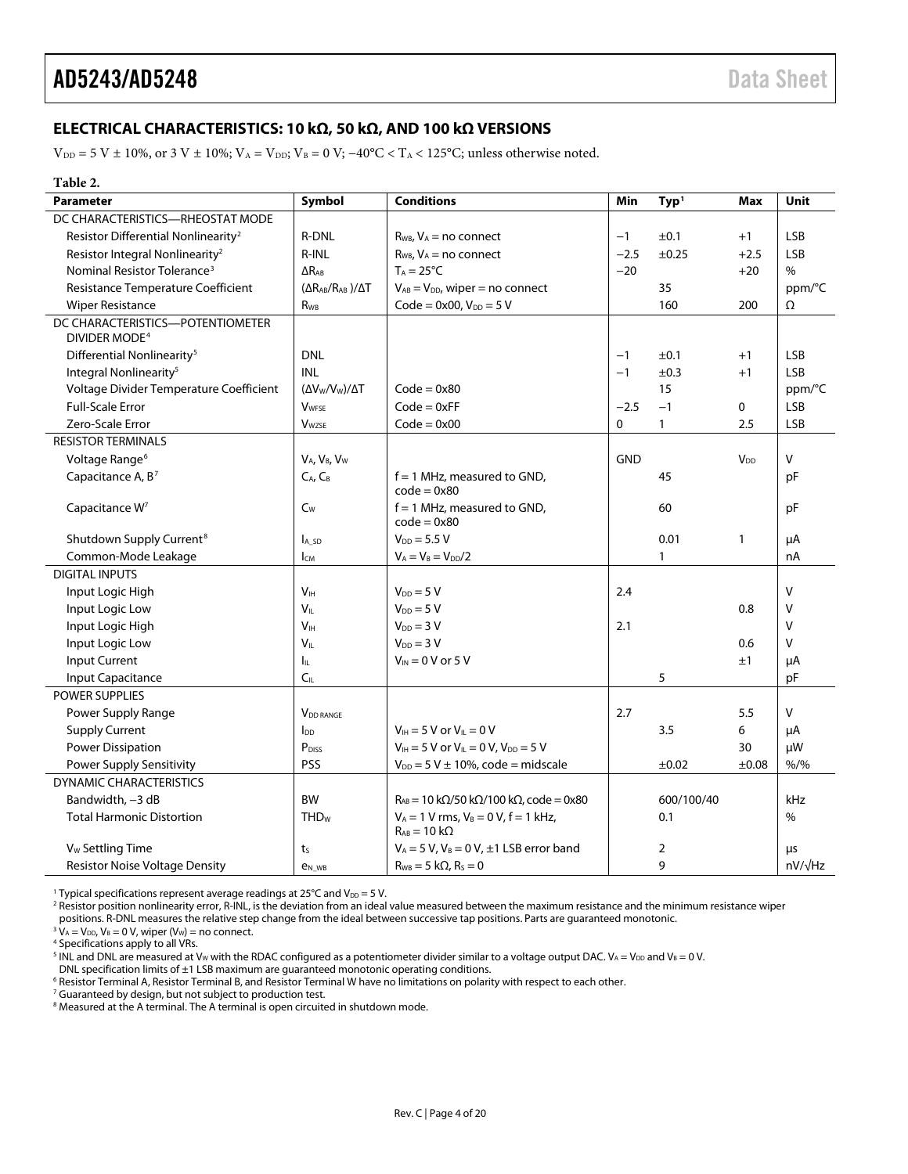### <span id="page-3-0"></span>**ELECTRICAL CHARACTERISTICS: 10 kΩ, 50 kΩ, AND 100 kΩ VERSIONS**

 $V_{DD} = 5 V \pm 10\%$ , or 3 V  $\pm$  10%;  $V_A = V_{DD}$ ;  $V_B = 0 V$ ;  $-40°C < T_A < 125°C$ ; unless otherwise noted.

#### <span id="page-3-1"></span>**Table 2.**

| <b>Parameter</b>                                              | Symbol                            | <b>Conditions</b>                                                     | Min          | Type <sup>1</sup> | Max                   | Unit           |
|---------------------------------------------------------------|-----------------------------------|-----------------------------------------------------------------------|--------------|-------------------|-----------------------|----------------|
| DC CHARACTERISTICS-RHEOSTAT MODE                              |                                   |                                                                       |              |                   |                       |                |
| Resistor Differential Nonlinearity <sup>2</sup>               | <b>R-DNL</b>                      | $R_{WB}$ , $V_A$ = no connect                                         | $-1$         | ±0.1              | $+1$                  | <b>LSB</b>     |
| Resistor Integral Nonlinearity <sup>2</sup>                   | R-INL                             | $R_{WB}$ , $V_A$ = no connect                                         | $-2.5$       | $\pm 0.25$        | $+2.5$                | LSB            |
| Nominal Resistor Tolerance <sup>3</sup>                       | $\Delta R_{AB}$                   | $T_A = 25^{\circ}C$                                                   | $-20$        |                   | $+20$                 | $\frac{0}{0}$  |
| Resistance Temperature Coefficient                            | $(\Delta R_{AB}/R_{AB})/\Delta T$ | $V_{AB} = V_{DD}$ , wiper = no connect                                |              | 35                |                       | ppm/°C         |
| <b>Wiper Resistance</b>                                       | $R_{WB}$                          | $Code = 0x00, V_{DD} = 5 V$                                           |              | 160               | 200                   | Ω              |
| DC CHARACTERISTICS-POTENTIOMETER<br>DIVIDER MODE <sup>4</sup> |                                   |                                                                       |              |                   |                       |                |
| Differential Nonlinearity <sup>5</sup>                        | <b>DNL</b>                        |                                                                       | $-1$         | ±0.1              | $+1$                  | <b>LSB</b>     |
| Integral Nonlinearity <sup>5</sup>                            | <b>INL</b>                        |                                                                       | $-1$         | ±0.3              | $+1$                  | <b>LSB</b>     |
| Voltage Divider Temperature Coefficient                       | $(\Delta V_{W}/V_{W})/\Delta T$   | $Code = 0x80$                                                         |              | 15                |                       | ppm/°C         |
| <b>Full-Scale Error</b>                                       | <b>V</b> WFSE                     | $Code = 0xFF$                                                         | $-2.5$       | $-1$              | 0                     | <b>LSB</b>     |
| Zero-Scale Error                                              | <b>V</b> wzse                     | $Code = 0x00$                                                         | $\mathbf{0}$ | $\mathbf{1}$      | 2.5                   | <b>LSB</b>     |
| <b>RESISTOR TERMINALS</b>                                     |                                   |                                                                       |              |                   |                       |                |
| Voltage Range <sup>6</sup>                                    | VA, VB, Vw                        |                                                                       | <b>GND</b>   |                   | <b>V<sub>DD</sub></b> | $\mathsf{V}$   |
| Capacitance A, B <sup>7</sup>                                 | $C_A$ , $C_B$                     | $f = 1$ MHz, measured to GND,<br>$code = 0x80$                        |              | 45                |                       | pF             |
| Capacitance W <sup>7</sup>                                    | $C_W$                             | $f = 1$ MHz, measured to GND,<br>$code = 0x80$                        |              | 60                |                       | рF             |
| Shutdown Supply Current <sup>8</sup>                          | A <sub>sD</sub>                   | $V_{DD} = 5.5 V$                                                      |              | 0.01              | $\mathbf{1}$          | μA             |
| Common-Mode Leakage                                           | <b>I</b> <sub>CM</sub>            | $V_A = V_B = V_{DD}/2$                                                |              | $\mathbf{1}$      |                       | nA             |
| <b>DIGITAL INPUTS</b>                                         |                                   |                                                                       |              |                   |                       |                |
| Input Logic High                                              | V <sub>IH</sub>                   | $V_{DD} = 5 V$                                                        | 2.4          |                   |                       | $\vee$         |
| Input Logic Low                                               | $V_{IL}$                          | $V_{DD} = 5 V$                                                        |              |                   | 0.8                   | $\vee$         |
| Input Logic High                                              | V <sub>IH</sub>                   | $V_{DD} = 3 V$                                                        | 2.1          |                   |                       | $\vee$         |
| Input Logic Low                                               | $V_{\parallel}$                   | $V_{DD} = 3 V$                                                        |              |                   | 0.6                   | $\vee$         |
| Input Current                                                 | Iц.                               | $V_{IN}$ = 0 V or 5 V                                                 |              |                   | ±1                    | μA             |
| Input Capacitance                                             | C <sub>IL</sub>                   |                                                                       |              | 5                 |                       | pF             |
| <b>POWER SUPPLIES</b>                                         |                                   |                                                                       |              |                   |                       |                |
| Power Supply Range                                            | <b>VDD RANGE</b>                  |                                                                       | 2.7          |                   | 5.5                   | V              |
| <b>Supply Current</b>                                         | $I_{DD}$                          | $V_{\text{H}} = 5$ V or $V_{\text{H}} = 0$ V                          |              | 3.5               | 6                     | μA             |
| <b>Power Dissipation</b>                                      | $P_{\text{DISS}}$                 | $V_{IH} = 5 V$ or $V_{IL} = 0 V$ , $V_{DD} = 5 V$                     |              |                   | 30                    | μW             |
| Power Supply Sensitivity                                      | <b>PSS</b>                        | $V_{DD} = 5 V \pm 10\%$ , code = midscale                             |              | $\pm 0.02$        | ±0.08                 | $% /$ %        |
| <b>DYNAMIC CHARACTERISTICS</b>                                |                                   |                                                                       |              |                   |                       |                |
| Bandwidth, -3 dB                                              | <b>BW</b>                         | $R_{AB}$ = 10 k $\Omega$ /50 k $\Omega$ /100 k $\Omega$ , code = 0x80 |              | 600/100/40        |                       | kHz            |
| <b>Total Harmonic Distortion</b>                              | <b>THD<sub>w</sub></b>            | $V_A = 1 V$ rms, $V_B = 0 V$ , $f = 1 kHz$ ,<br>$R_{AB} = 10 k\Omega$ |              | 0.1               |                       | $\%$           |
| V <sub>w</sub> Settling Time                                  | t <sub>S</sub>                    | $V_A = 5 V$ , $V_B = 0 V$ , $\pm 1$ LSB error band                    |              | 2                 |                       | <b>LLS</b>     |
| <b>Resistor Noise Voltage Density</b>                         | <b>e</b> <sub>N</sub> WB          | $R_{WB} = 5 k\Omega$ , $R_s = 0$                                      |              | 9                 |                       | $nV/\sqrt{Hz}$ |

<sup>1</sup> Typical specifications represent average readings at 25°C and  $V_{DD} = 5$  V.

 $2$  Resistor position nonlinearity error, R-INL, is the deviation from an ideal value measured between the maximum resistance and the minimum resistance wiper

positions. R-DNL measures the relative step change from the ideal between successive tap positions. Parts are guaranteed monotonic.

 $3 \text{ V}_A = \text{V}_{DD}$ ,  $\text{V}_B = 0 \text{ V}$ , wiper (V<sub>w</sub>) = no connect.

<sup>4</sup> Specifications apply to all VRs.

<sup>5</sup> INL and DNL are measured at V<sub>W</sub> with the RDAC configured as a potentiometer divider similar to a voltage output DAC. V<sub>A</sub> = V<sub>DD</sub> and V<sub>B</sub> = 0 V.

<sup>6</sup> Resistor Terminal A, Resistor Terminal B, and Resistor Terminal W have no limitations on polarity with respect to each other.

<sup>7</sup> Guaranteed by design, but not subject to production test.

<sup>8</sup> Measured at the A terminal. The A terminal is open circuited in shutdown mode.

DNL specification limits of ±1 LSB maximum are guaranteed monotonic operating conditions.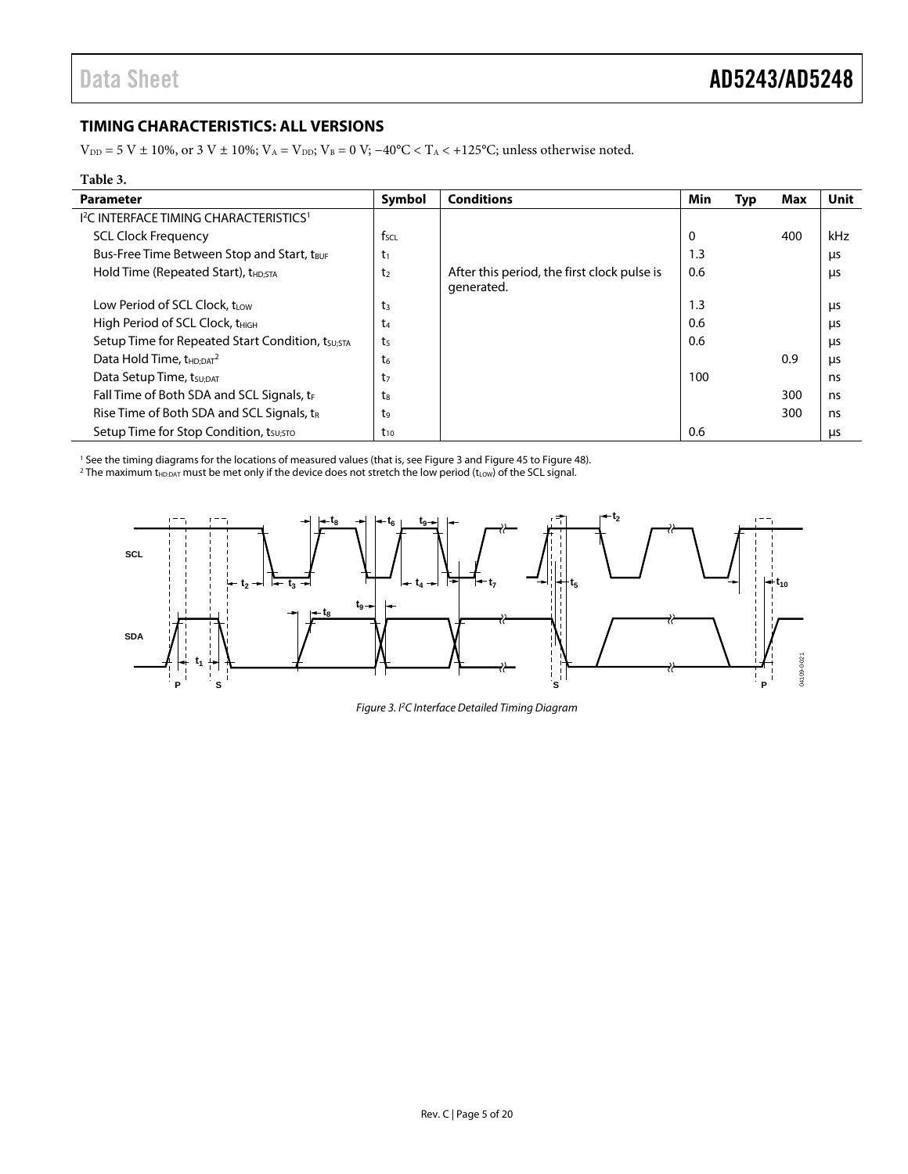### <span id="page-4-0"></span>**TIMING CHARACTERISTICS: ALL VERSIONS**

 $V_{\text{DD}} = 5 \text{ V} \pm 10\%$ , or 3 V  $\pm$  10%;  $V_A = V_{\text{DD}}$ ;  $V_B = 0 \text{ V}$ ;  $-40\text{°C} < T_A < +125\text{°C}$ ; unless otherwise noted.

#### **Table 3.**

 $\overline{\phantom{a}}$ 

| <b>Parameter</b>                                              | Symbol           | <b>Conditions</b>                                         | Min | <b>Typ</b> | Max | Unit |
|---------------------------------------------------------------|------------------|-----------------------------------------------------------|-----|------------|-----|------|
| <sup>12</sup> C INTERFACE TIMING CHARACTERISTICS <sup>1</sup> |                  |                                                           |     |            |     |      |
| <b>SCL Clock Frequency</b>                                    | $f_{\text{SCL}}$ |                                                           | 0   |            | 400 | kHz  |
| Bus-Free Time Between Stop and Start, tBUF                    | $t_1$            |                                                           | 1.3 |            |     | μs   |
| Hold Time (Repeated Start), t <sub>HD:STA</sub>               | t <sub>2</sub>   | After this period, the first clock pulse is<br>generated. | 0.6 |            |     | μs   |
| Low Period of SCL Clock, t <sub>LOW</sub>                     | t3               |                                                           | 1.3 |            |     | μs   |
| High Period of SCL Clock, t <sub>HIGH</sub>                   | t4               |                                                           | 0.6 |            |     | μs   |
| Setup Time for Repeated Start Condition, tsu;STA              | t <sub>5</sub>   |                                                           | 0.6 |            |     | μs   |
| Data Hold Time, $t_{HD:DT}^2$                                 | t <sub>6</sub>   |                                                           |     |            | 0.9 | μs   |
| Data Setup Time, tsu; DAT                                     | t7               |                                                           | 100 |            |     | ns   |
| Fall Time of Both SDA and SCL Signals, $t_F$                  | tg               |                                                           |     |            | 300 | ns   |
| Rise Time of Both SDA and SCL Signals, tR                     | t9               |                                                           |     |            | 300 | ns   |
| Setup Time for Stop Condition, tsusto                         | $t_{10}$         |                                                           | 0.6 |            |     | μs   |

<sup>1</sup> See the timing diagrams for the locations of measured values (that is, see Figure 3 and Figure 45 to Figure 48).

<sup>1</sup> See the timing diagrams for the locations of measured values (that is, se[e Figure 3 a](#page-4-1)n[d Figure 45 t](#page-17-1)[o Figure 48\)](#page-17-2).<br><sup>2</sup> The maximum t<sub>HDDAT</sub> must be met only if the device does not stretch the low period (t<sub>LOW</sub>) of the S

<span id="page-4-1"></span>

Figure 3. I2 C Interface Detailed Timing Diagram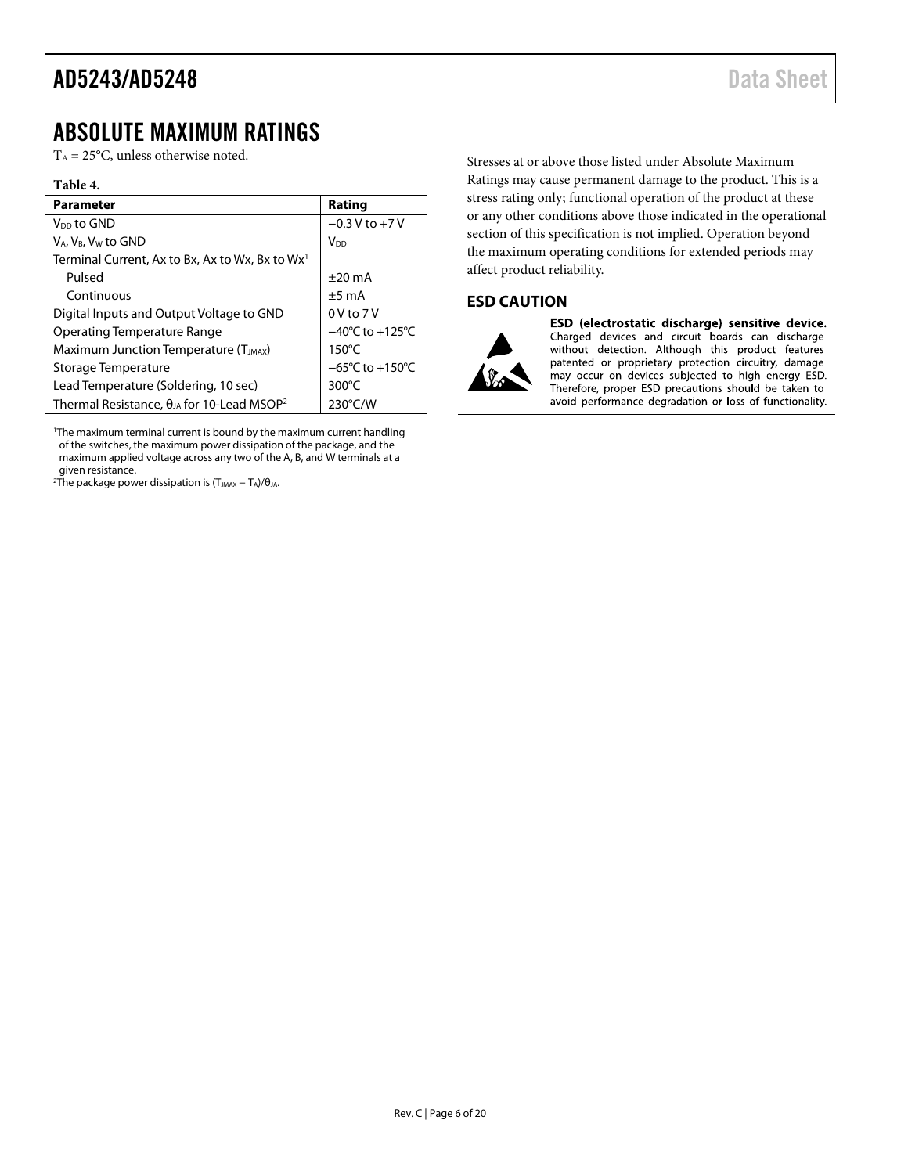### <span id="page-5-0"></span>ABSOLUTE MAXIMUM RATINGS

 $T_A = 25$ °C, unless otherwise noted.

#### **Table 4.**

| <b>Parameter</b>                                                | Rating                              |
|-----------------------------------------------------------------|-------------------------------------|
| V <sub>DD</sub> to GND                                          | $-0.3$ V to $+7$ V                  |
| $V_A$ , $V_B$ , $V_W$ to GND                                    | V <sub>DD</sub>                     |
| Terminal Current, Ax to Bx, Ax to Wx, Bx to Wx <sup>1</sup>     |                                     |
| Pulsed                                                          | $+20 \text{ mA}$                    |
| Continuous                                                      | $±5$ mA                             |
| Digital Inputs and Output Voltage to GND                        | 0V to 7V                            |
| Operating Temperature Range                                     | $-40^{\circ}$ C to $+125^{\circ}$ C |
| Maximum Junction Temperature (T <sub>JMAX</sub> )               | $150^{\circ}$ C                     |
| Storage Temperature                                             | $-65^{\circ}$ C to $+150^{\circ}$ C |
| Lead Temperature (Soldering, 10 sec)                            | $300^{\circ}$ C                     |
| Thermal Resistance, $\theta_{JA}$ for 10-Lead MSOP <sup>2</sup> | $230^{\circ}$ C/W                   |

1 The maximum terminal current is bound by the maximum current handling of the switches, the maximum power dissipation of the package, and the maximum applied voltage across any two of the A, B, and W terminals at a given resistance.

<span id="page-5-2"></span><sup>2</sup>The package power dissipation is  $(T_{JMAX} - T_A)/\theta_{JA}$ .

Stresses at or above those listed under Absolute Maximum Ratings may cause permanent damage to the product. This is a stress rating only; functional operation of the product at these or any other conditions above those indicated in the operational section of this specification is not implied. Operation beyond the maximum operating conditions for extended periods may affect product reliability.

### <span id="page-5-1"></span>**ESD CAUTION**



ESD (electrostatic discharge) sensitive device. Charged devices and circuit boards can discharge without detection. Although this product features patented or proprietary protection circuitry, damage may occur on devices subjected to high energy ESD. Therefore, proper ESD precautions should be taken to avoid performance degradation or loss of functionality.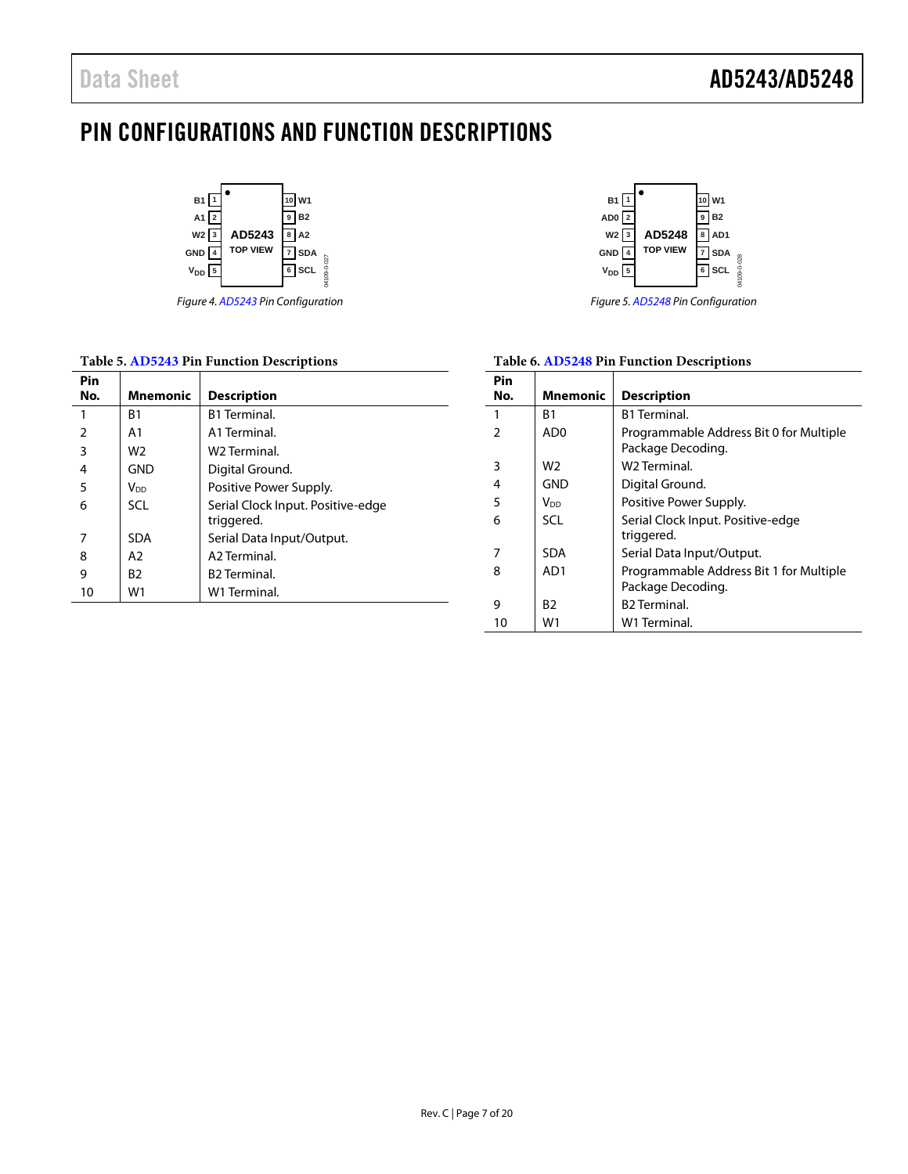## <span id="page-6-0"></span>PIN CONFIGURATIONS AND FUNCTION DESCRIPTIONS



*Figure 4[. AD5243](http://www.analog.com/AD5243?doc=AD5243_5248.pdf) Pin Configuration*

### **Table 5[. AD5243](http://www.analog.com/AD5243?doc=AD5243_5248.pdf) Pin Function Descriptions**

| Pin            |                 |                                                 |
|----------------|-----------------|-------------------------------------------------|
| No.            | <b>Mnemonic</b> | <b>Description</b>                              |
| 1              | B1              | <b>B1</b> Terminal.                             |
| $\overline{2}$ | A <sub>1</sub>  | A1 Terminal.                                    |
| 3              | W <sub>2</sub>  | W <sub>2</sub> Terminal.                        |
| 4              | <b>GND</b>      | Digital Ground.                                 |
| 5              | V <sub>DD</sub> | Positive Power Supply.                          |
| 6              | <b>SCL</b>      | Serial Clock Input. Positive-edge<br>triggered. |
| 7              | <b>SDA</b>      | Serial Data Input/Output.                       |
| 8              | A2              | A <sub>2</sub> Terminal                         |
| 9              | B2              | <b>B2</b> Terminal.                             |
| 10             | W1              | W1 Terminal.                                    |
|                |                 |                                                 |



*Figure 5[. AD5248](http://www.analog.com/AD5248?doc=AD5243_5248.pdf) Pin Configuration*

### **Table 6[. AD5248](http://www.analog.com/AD5248?doc=AD5243_5248.pdf) Pin Function Descriptions**

| Pin |                 |                                                              |
|-----|-----------------|--------------------------------------------------------------|
| No. | <b>Mnemonic</b> | <b>Description</b>                                           |
| 1   | B1              | <b>B1 Terminal</b>                                           |
| 2   | AD0             | Programmable Address Bit 0 for Multiple<br>Package Decoding. |
| 3   | W2              | W <sub>2</sub> Terminal.                                     |
| 4   | GND             | Digital Ground.                                              |
| 5   | V <sub>DD</sub> | Positive Power Supply.                                       |
| 6   | SCL             | Serial Clock Input. Positive-edge<br>triggered.              |
| 7   | <b>SDA</b>      | Serial Data Input/Output.                                    |
| 8   | AD1             | Programmable Address Bit 1 for Multiple<br>Package Decoding. |
| 9   | B2              | <b>B2</b> Terminal.                                          |
| 10  | W1              | W1 Terminal.                                                 |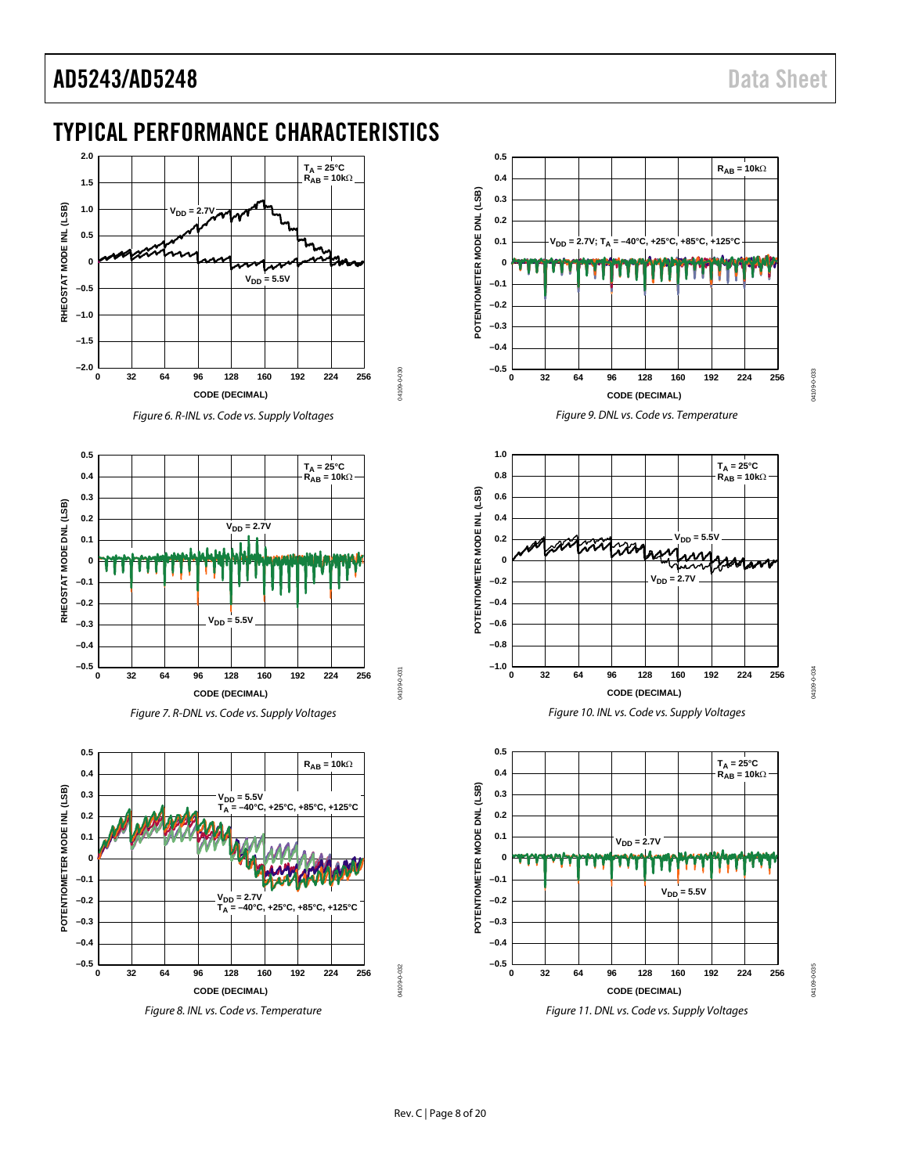## <span id="page-7-0"></span>TYPICAL PERFORMANCE CHARACTERISTICS



*Figure 6. R-INL vs. Code vs. Supply Voltages*

04109-0-030

04109-0-031

04109-0-031

04109-0-032

14109-0-032



*Figure 7. R-DNL vs. Code vs. Supply Voltages*



*Figure 8. INL vs. Code vs. Temperature*



<span id="page-7-1"></span>

*Figure 11. DNL vs. Code vs. Supply Voltages*

04109-0-033

04109-0-033

04109-0034 04109-0-034

> 04109-0-035 04109-0-035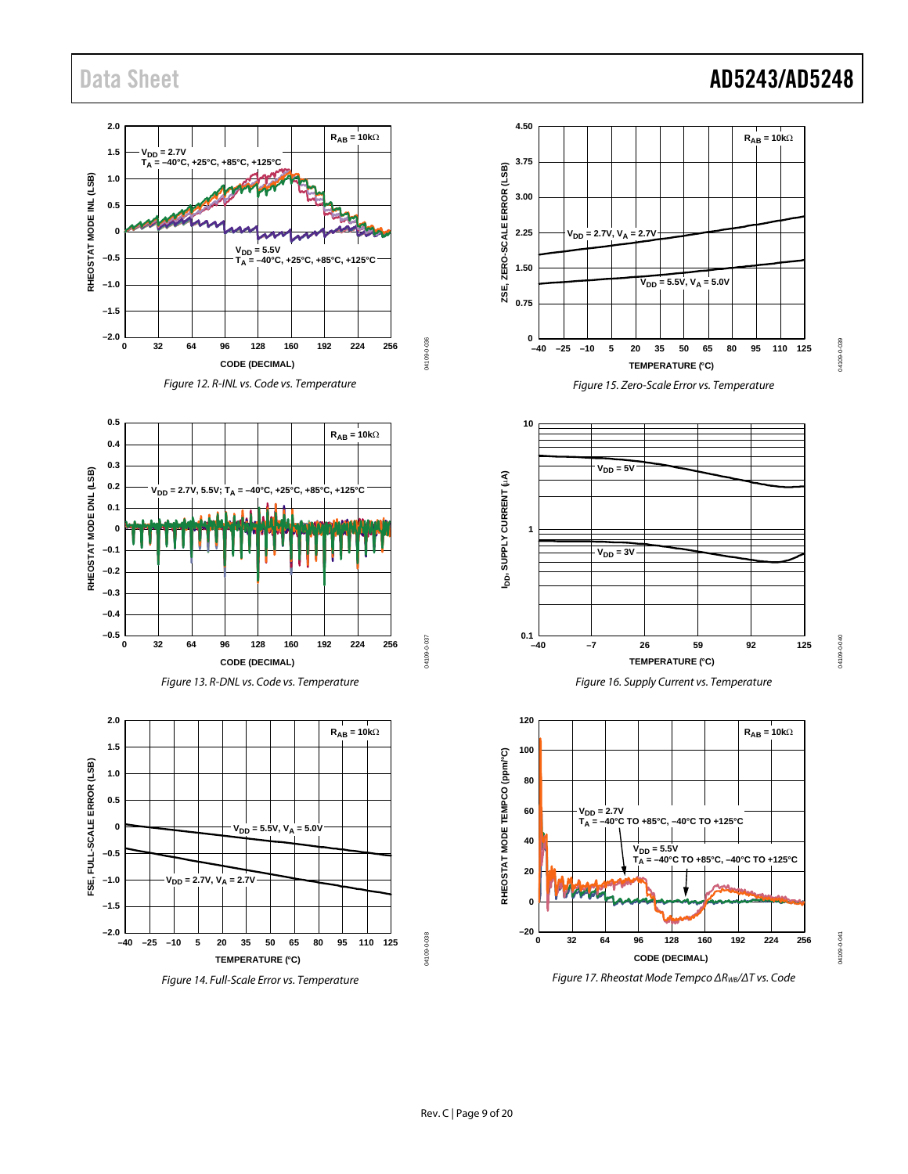### Data Sheet **AD5243/AD5248**

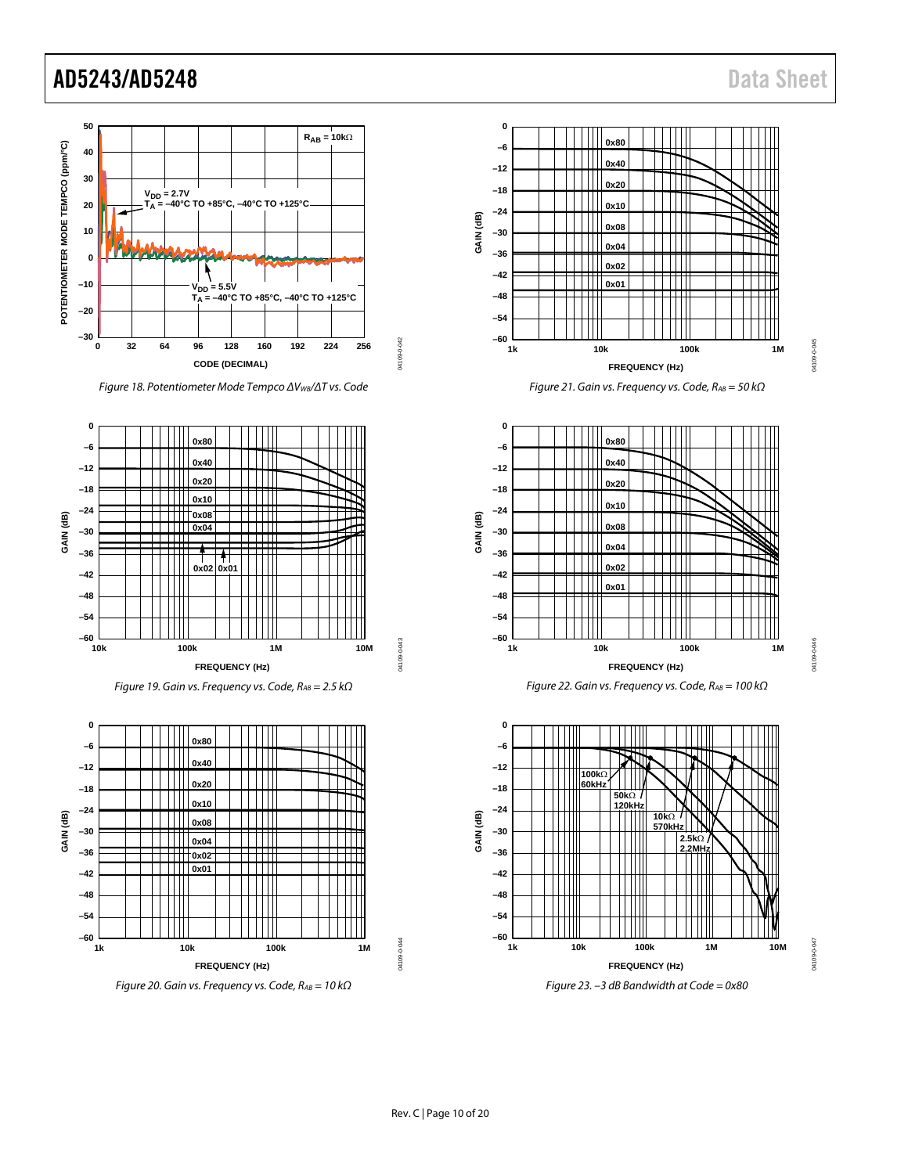

*Figure 18. Potentiometer Mode Tempco ΔVWB/ΔT vs. Code*







*Figure 20. Gain vs. Frequency vs. Code, RAB = 10 kΩ*











*Figure 23. –3 dB Bandwidth at Code = 0x80*

04109-0-045

04109-0-045

N4109-0-047 04109-0-047

04109-0-043

04109-0-044

04109-0-044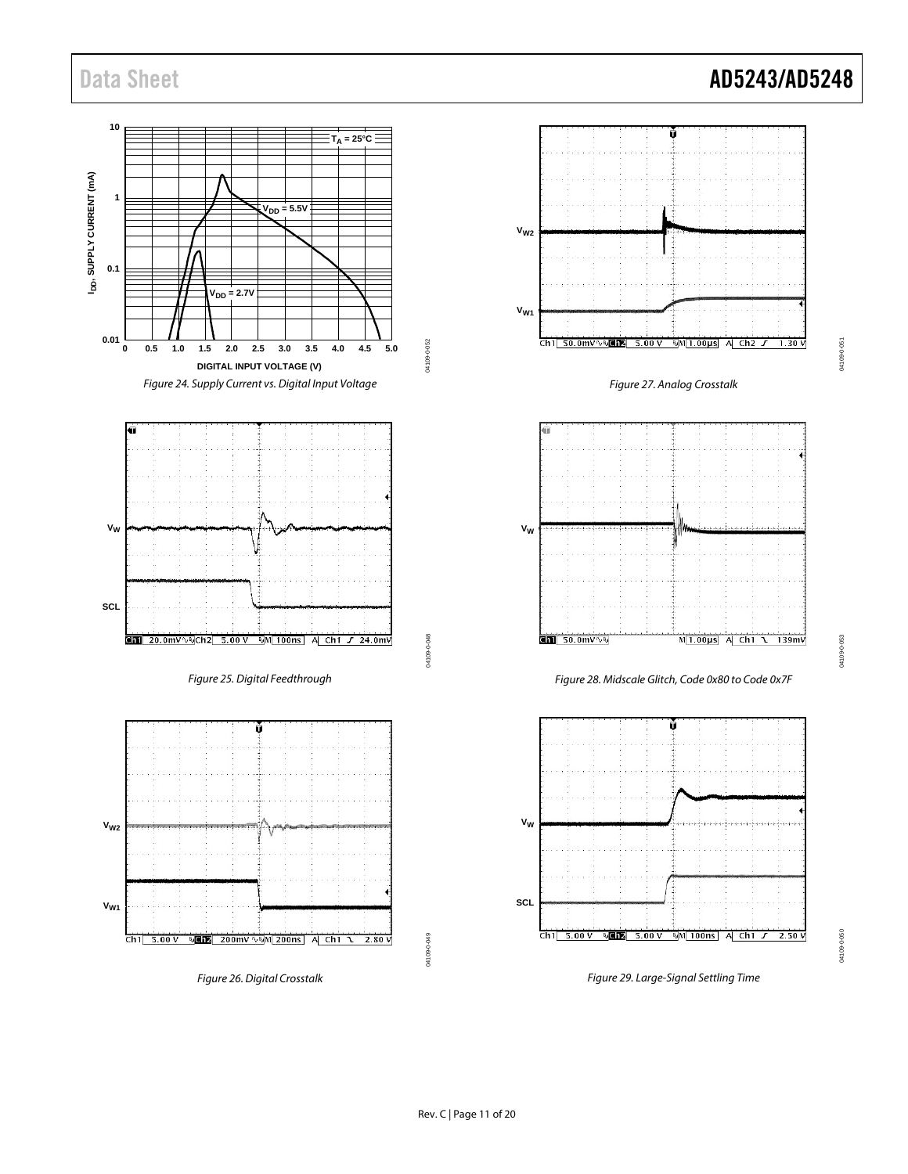Data Sheet **AD5243/AD5248** 

04109-0-051

04109-0-051



04109-0-053

04109-0-053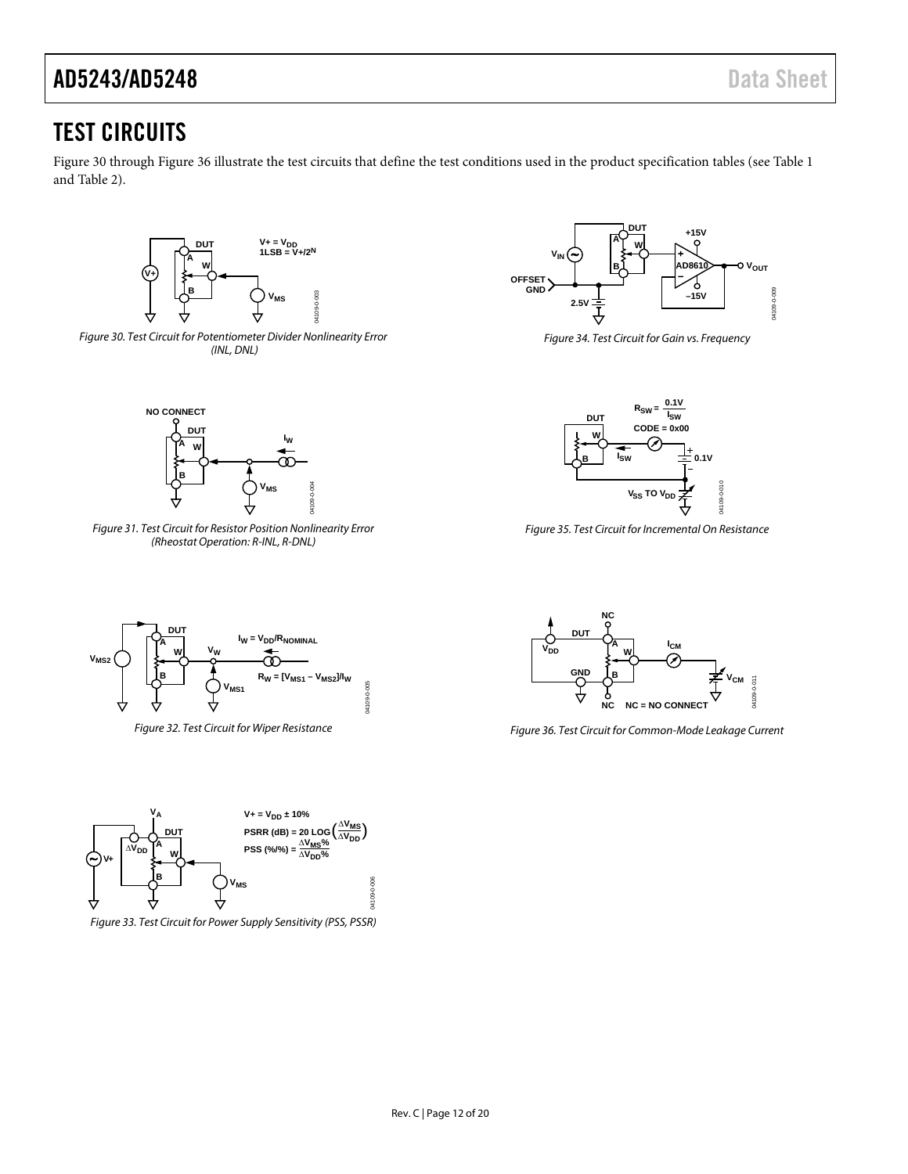### <span id="page-11-0"></span>TEST CIRCUITS

[Figure 30](#page-11-1) throug[h Figure 36](#page-11-2) illustrate the test circuits that define the test conditions used in the product specification tables (se[e Table 1](#page-2-2) an[d Table 2\)](#page-3-1).



<span id="page-11-1"></span>



*Figure 31. Test Circuit for Resistor Position Nonlinearity Error (Rheostat Operation: R-INL, R-DNL)*



*Figure 34. Test Circuit for Gain vs. Frequency*



*Figure 35. Test Circuit for Incremental On Resistance*



*Figure 32. Test Circuit for Wiper Resistance*



*Figure 33. Test Circuit for Power Supply Sensitivity (PSS, PSSR)* 



<span id="page-11-2"></span>*Figure 36. Test Circuit for Common-Mode Leakage Current*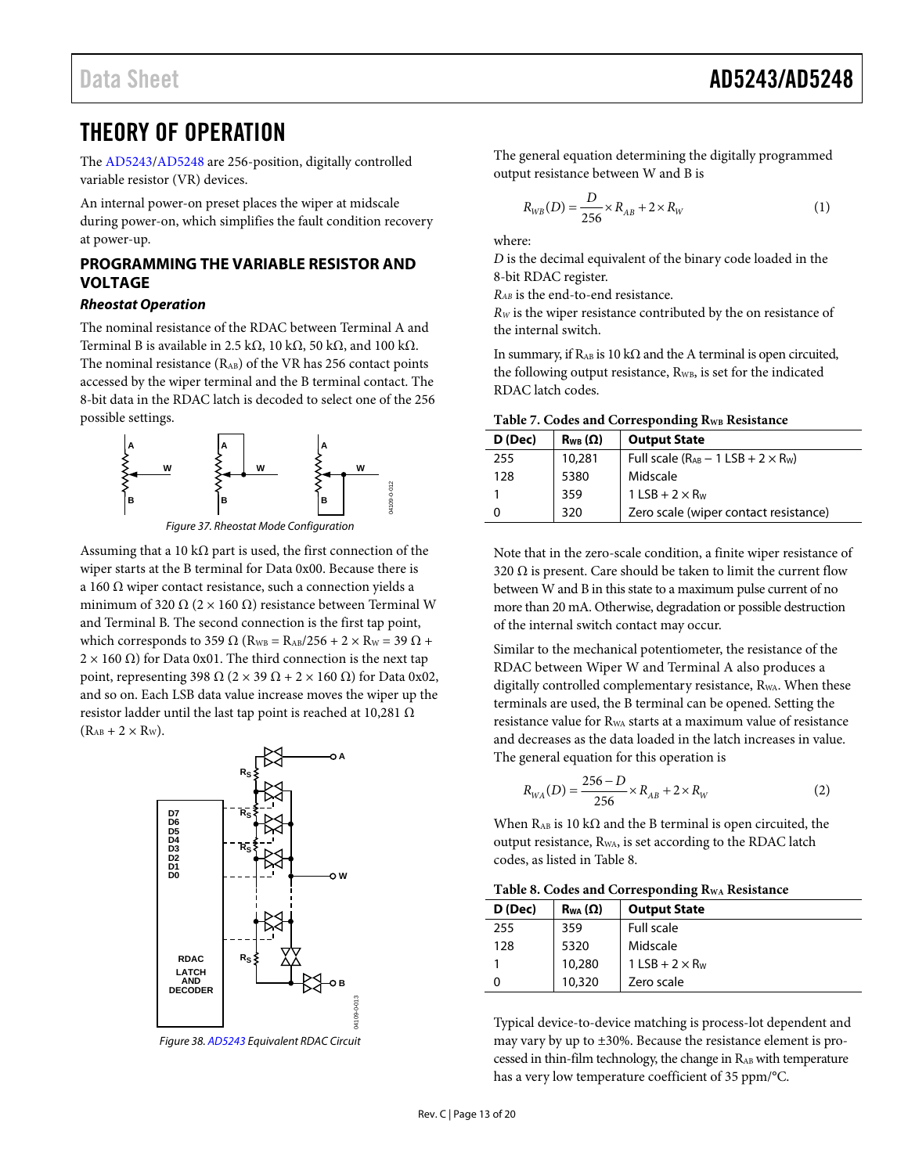### <span id="page-12-0"></span>THEORY OF OPERATION

The [AD5243/](http://www.analog.com/AD5243?doc=AD5243_5248.pdf)[AD5248 a](http://www.analog.com/AD5248?doc=AD5243_5248.pdf)re 256-position, digitally controlled variable resistor (VR) devices.

An internal power-on preset places the wiper at midscale during power-on, which simplifies the fault condition recovery at power-up.

### <span id="page-12-1"></span>**PROGRAMMING THE VARIABLE RESISTOR AND VOLTAGE**

### **Rheostat Operation**

The nominal resistance of the RDAC between Terminal A and Terminal B is available in 2.5 kΩ, 10 kΩ, 50 kΩ, and 100 kΩ. The nominal resistance  $(R_{AB})$  of the VR has 256 contact points accessed by the wiper terminal and the B terminal contact. The 8-bit data in the RDAC latch is decoded to select one of the 256 possible settings.



Figure 37. Rheostat Mode Configuration

Assuming that a 10 k $\Omega$  part is used, the first connection of the wiper starts at the B terminal for Data 0x00. Because there is a 160 Ω wiper contact resistance, such a connection yields a minimum of 320  $\Omega$  (2 × 160  $\Omega$ ) resistance between Terminal W and Terminal B. The second connection is the first tap point, which corresponds to 359  $\Omega$  (R<sub>WB</sub> = R<sub>AB</sub>/256 + 2 × R<sub>W</sub> = 39  $\Omega$  +  $2 \times 160$  Ω) for Data 0x01. The third connection is the next tap point, representing 398 Ω (2 × 39 Ω + 2 × 160 Ω) for Data 0x02, and so on. Each LSB data value increase moves the wiper up the resistor ladder until the last tap point is reached at 10,281 Ω  $(R<sub>AB</sub> + 2 \times R<sub>W</sub>)$ .



Figure 38[. AD5243 E](http://www.analog.com/AD5243?doc=AD5243_5248.pdf)quivalent RDAC Circuit

The general equation determining the digitally programmed output resistance between W and B is

$$
R_{WB}(D) = \frac{D}{256} \times R_{AB} + 2 \times R_{W}
$$
 (1)

where:

*D* is the decimal equivalent of the binary code loaded in the 8-bit RDAC register.

*RAB* is the end-to-end resistance.

*R<sub>W</sub>* is the wiper resistance contributed by the on resistance of the internal switch.

In summary, if R<sub>AB</sub> is 10 kΩ and the A terminal is open circuited, the following output resistance, R<sub>WB</sub>, is set for the indicated RDAC latch codes.

| D (Dec) | $R_{WB}(\Omega)$ | <b>Output State</b>                                        |
|---------|------------------|------------------------------------------------------------|
| 255     | 10,281           | Full scale $(R_{AB} - 1$ LSB + 2 $\times$ R <sub>W</sub> ) |
| 128     | 5380             | Midscale                                                   |
|         | 359              | $1$ LSB + 2 $\times$ R <sub>w</sub>                        |
| 0       | 320              | Zero scale (wiper contact resistance)                      |

Note that in the zero-scale condition, a finite wiper resistance of 320  $\Omega$  is present. Care should be taken to limit the current flow between W and B in this state to a maximum pulse current of no more than 20 mA. Otherwise, degradation or possible destruction of the internal switch contact may occur.

Similar to the mechanical potentiometer, the resistance of the RDAC between Wiper W and Terminal A also produces a digitally controlled complementary resistance, R<sub>WA</sub>. When these terminals are used, the B terminal can be opened. Setting the resistance value for RWA starts at a maximum value of resistance and decreases as the data loaded in the latch increases in value. The general equation for this operation is

$$
R_{WA}(D) = \frac{256 - D}{256} \times R_{AB} + 2 \times R_W
$$
 (2)

When  $R_{AB}$  is 10 k $\Omega$  and the B terminal is open circuited, the output resistance, RWA, is set according to the RDAC latch codes, as listed in [Table 8.](#page-12-2)

<span id="page-12-2"></span>**Table 8. Codes and Corresponding RWA Resistance** 

| D (Dec) | $R_{WA}(\Omega)$ | <b>Output State</b>                 |
|---------|------------------|-------------------------------------|
| 255     | 359              | Full scale                          |
| 128     | 5320             | Midscale                            |
|         | 10,280           | $1$ LSB + 2 $\times$ R <sub>w</sub> |
|         | 10,320           | Zero scale                          |

Typical device-to-device matching is process-lot dependent and may vary by up to ±30%. Because the resistance element is processed in thin-film technology, the change in RAB with temperature has a very low temperature coefficient of 35 ppm/°C.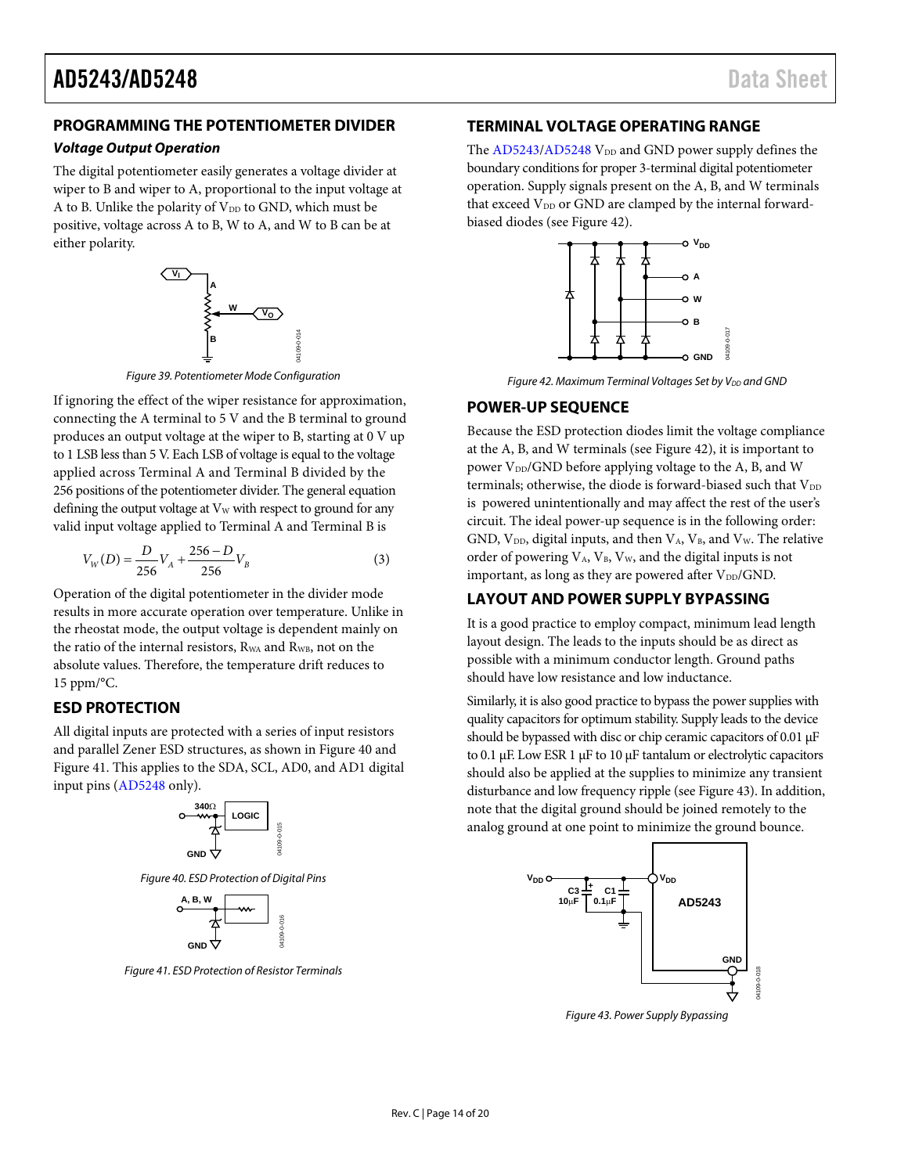### <span id="page-13-0"></span>**PROGRAMMING THE POTENTIOMETER DIVIDER**

#### *Voltage Output Operation*

The digital potentiometer easily generates a voltage divider at wiper to B and wiper to A, proportional to the input voltage at A to B. Unlike the polarity of  $V_{DD}$  to GND, which must be positive, voltage across A to B, W to A, and W to B can be at either polarity.



*Figure 39. Potentiometer Mode Configuration*

If ignoring the effect of the wiper resistance for approximation, connecting the A terminal to 5 V and the B terminal to ground produces an output voltage at the wiper to B, starting at 0 V up to 1 LSB less than 5 V. Each LSB of voltage is equal to the voltage applied across Terminal A and Terminal B divided by the 256 positions of the potentiometer divider. The general equation defining the output voltage at  $V_W$  with respect to ground for any valid input voltage applied to Terminal A and Terminal B is

$$
V_W(D) = \frac{D}{256} V_A + \frac{256 - D}{256} V_B
$$
 (3)

Operation of the digital potentiometer in the divider mode results in more accurate operation over temperature. Unlike in the rheostat mode, the output voltage is dependent mainly on the ratio of the internal resistors, R<sub>WA</sub> and R<sub>WB</sub>, not on the absolute values. Therefore, the temperature drift reduces to 15 ppm/°C.

### <span id="page-13-1"></span>**ESD PROTECTION**

All digital inputs are protected with a series of input resistors and parallel Zener ESD structures, as shown i[n Figure 40](#page-13-5) and [Figure 41.](#page-13-6) This applies to the SDA, SCL, AD0, and AD1 digital input pins [\(AD5248](http://www.analog.com/AD5248?doc=AD5243_5248.pdf) only).



<span id="page-13-5"></span>*Figure 40. ESD Protection of Digital Pins*



<span id="page-13-6"></span>*Figure 41. ESD Protection of Resistor Terminals*

### <span id="page-13-2"></span>**TERMINAL VOLTAGE OPERATING RANGE**

The  $AD5243/AD5248$  $AD5243/AD5248$  V<sub>DD</sub> and GND power supply defines the boundary conditions for proper 3-terminal digital potentiometer operation. Supply signals present on the A, B, and W terminals that exceed V<sub>DD</sub> or GND are clamped by the internal forwardbiased diodes (se[e Figure 42\)](#page-13-7).



*Figure 42. Maximum Terminal Voltages Set by V<sub>DD</sub> and GND* 

### <span id="page-13-7"></span><span id="page-13-3"></span>**POWER-UP SEQUENCE**

Because the ESD protection diodes limit the voltage compliance at the A, B, and W terminals (see [Figure 42\)](#page-13-7), it is important to power  $V_{DD}/GND$  before applying voltage to the A, B, and W terminals; otherwise, the diode is forward-biased such that  $V_{DD}$ is powered unintentionally and may affect the rest of the user's circuit. The ideal power-up sequence is in the following order: GND,  $V_{DD}$ , digital inputs, and then  $V_A$ ,  $V_B$ , and  $V_W$ . The relative order of powering  $V_A$ ,  $V_B$ ,  $V_W$ , and the digital inputs is not important, as long as they are powered after  $V_{DD}/GND$ .

### <span id="page-13-4"></span>**LAYOUT AND POWER SUPPLY BYPASSING**

It is a good practice to employ compact, minimum lead length layout design. The leads to the inputs should be as direct as possible with a minimum conductor length. Ground paths should have low resistance and low inductance.

Similarly, it is also good practice to bypass the power supplies with quality capacitors for optimum stability. Supply leads to the device should be bypassed with disc or chip ceramic capacitors of 0.01  $\mu$ F to 0.1 µF. Low ESR 1 µF to 10 µF tantalum or electrolytic capacitors should also be applied at the supplies to minimize any transient disturbance and low frequency ripple (se[e Figure 43\)](#page-13-8). In addition, note that the digital ground should be joined remotely to the analog ground at one point to minimize the ground bounce.



<span id="page-13-8"></span>*Figure 43. Power Supply Bypassing*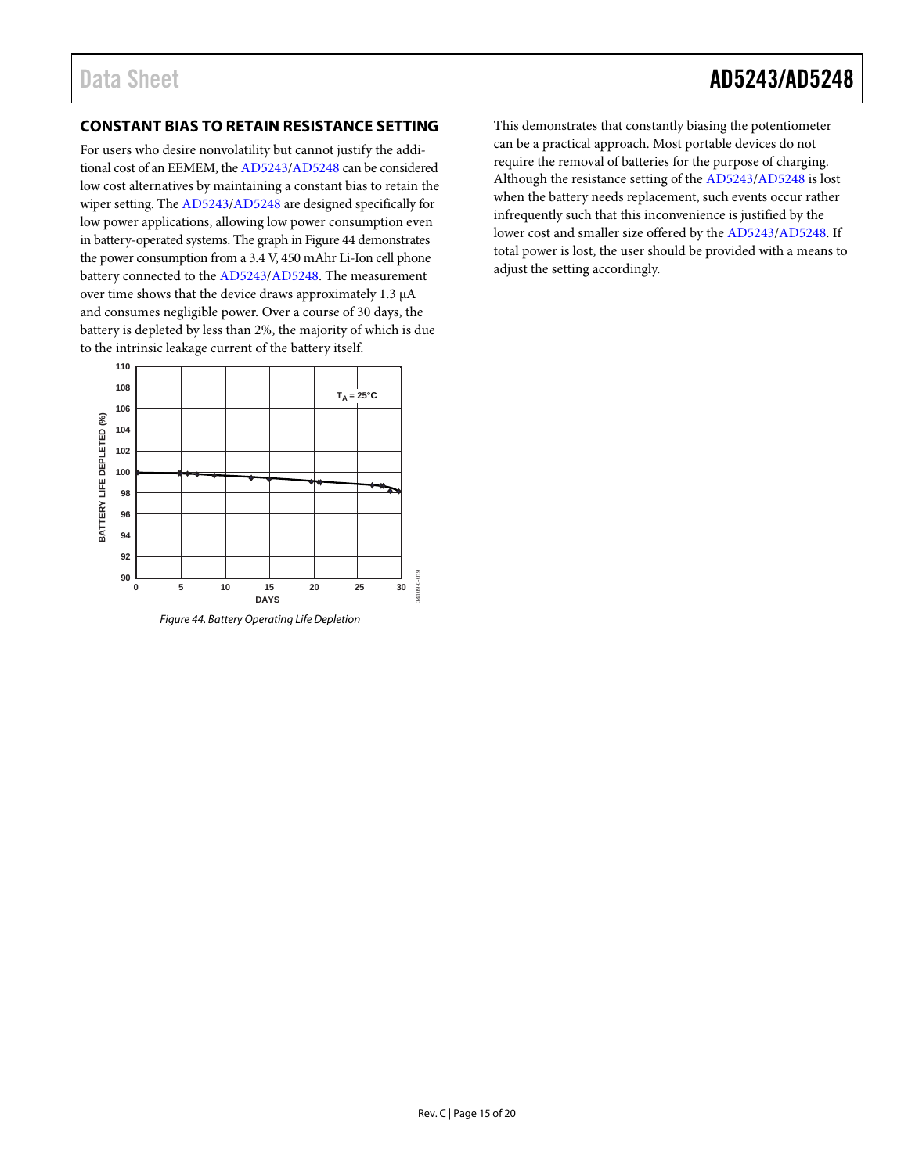### <span id="page-14-0"></span>**CONSTANT BIAS TO RETAIN RESISTANCE SETTING**

For users who desire nonvolatility but cannot justify the additional cost of an EEMEM, th[e AD5243/](http://www.analog.com/AD5243?doc=AD5243_5248.pdf)[AD5248](http://www.analog.com/AD5248?doc=AD5243_5248.pdf) can be considered low cost alternatives by maintaining a constant bias to retain the wiper setting. Th[e AD5243](http://www.analog.com/AD5243?doc=AD5243_5248.pdf)[/AD5248](http://www.analog.com/AD5248?doc=AD5243_5248.pdf) are designed specifically for low power applications, allowing low power consumption even in battery-operated systems. The graph in [Figure 44](#page-14-1) demonstrates the power consumption from a 3.4 V, 450 mAhr Li-Ion cell phone battery connected to th[e AD5243](http://www.analog.com/AD5243?doc=AD5243_5248.pdf)[/AD5248.](http://www.analog.com/AD5248?doc=AD5243_5248.pdf) The measurement over time shows that the device draws approximately 1.3 µA and consumes negligible power. Over a course of 30 days, the battery is depleted by less than 2%, the majority of which is due to the intrinsic leakage current of the battery itself.



<span id="page-14-1"></span>*Figure 44. Battery Operating Life Depletion*

This demonstrates that constantly biasing the potentiometer can be a practical approach. Most portable devices do not require the removal of batteries for the purpose of charging. Although the resistance setting of th[e AD5243](http://www.analog.com/AD5243?doc=AD5243_5248.pdf)[/AD5248](http://www.analog.com/AD5248?doc=AD5243_5248.pdf) is lost when the battery needs replacement, such events occur rather infrequently such that this inconvenience is justified by the lower cost and smaller size offered by th[e AD5243/](http://www.analog.com/AD5243?doc=AD5243_5248.pdf)[AD5248.](http://www.analog.com/AD5248?doc=AD5243_5248.pdf) If total power is lost, the user should be provided with a means to adjust the setting accordingly.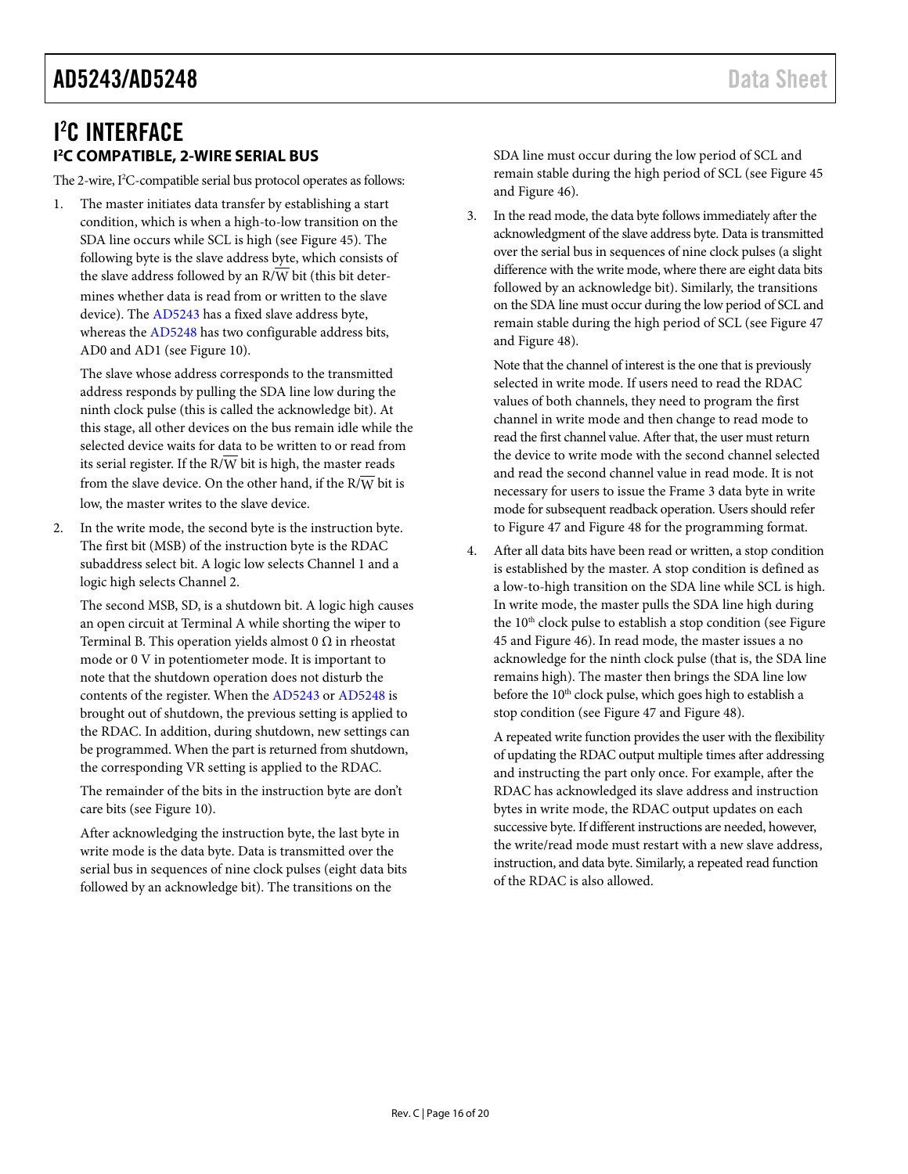### <span id="page-15-0"></span>I 2 C INTERFACE **I 2 C COMPATIBLE, 2-WIRE SERIAL BUS**

<span id="page-15-1"></span>The 2-wire, I 2 C-compatible serial bus protocol operates as follows:

1. The master initiates data transfer by establishing a start condition, which is when a high-to-low transition on the SDA line occurs while SCL is high (see [Figure 45\)](#page-17-1). The following byte is the slave address byte, which consists of the slave address followed by an  $R/\overline{W}$  bit (this bit determines whether data is read from or written to the slave device). The [AD5243](http://www.analog.com/AD5243?doc=AD5243_5248.pdf) has a fixed slave address byte, whereas the [AD5248](http://www.analog.com/AD5248?doc=AD5243_5248.pdf) has two configurable address bits, AD0 and AD1 (see [Figure 10\)](#page-7-1).

The slave whose address corresponds to the transmitted address responds by pulling the SDA line low during the ninth clock pulse (this is called the acknowledge bit). At this stage, all other devices on the bus remain idle while the selected device waits for data to be written to or read from its serial register. If the  $R/\overline{W}$  bit is high, the master reads from the slave device. On the other hand, if the  $R/\overline{W}$  bit is low, the master writes to the slave device.

2. In the write mode, the second byte is the instruction byte. The first bit (MSB) of the instruction byte is the RDAC subaddress select bit. A logic low selects Channel 1 and a logic high selects Channel 2.

The second MSB, SD, is a shutdown bit. A logic high causes an open circuit at Terminal A while shorting the wiper to Terminal B. This operation yields almost 0  $\Omega$  in rheostat mode or 0 V in potentiometer mode. It is important to note that the shutdown operation does not disturb the contents of the register. When the [AD5243](http://www.analog.com/AD5243?doc=AD5243_5248.pdf) or [AD5248](http://www.analog.com/AD5248?doc=AD5243_5248.pdf) is brought out of shutdown, the previous setting is applied to the RDAC. In addition, during shutdown, new settings can be programmed. When the part is returned from shutdown, the corresponding VR setting is applied to the RDAC.

The remainder of the bits in the instruction byte are don't care bits (see [Figure 10\)](#page-7-1).

After acknowledging the instruction byte, the last byte in write mode is the data byte. Data is transmitted over the serial bus in sequences of nine clock pulses (eight data bits followed by an acknowledge bit). The transitions on the

SDA line must occur during the low period of SCL and remain stable during the high period of SCL (se[e Figure 45](#page-17-1) an[d Figure 46\)](#page-17-3).

3. In the read mode, the data byte follows immediately after the acknowledgment of the slave address byte. Data is transmitted over the serial bus in sequences of nine clock pulses (a slight difference with the write mode, where there are eight data bits followed by an acknowledge bit). Similarly, the transitions on the SDA line must occur during the low period of SCL and remain stable during the high period of SCL (se[e Figure 47](#page-17-4) an[d Figure 48\)](#page-17-2).

Note that the channel of interest is the one that is previously selected in write mode. If users need to read the RDAC values of both channels, they need to program the first channel in write mode and then change to read mode to read the first channel value. After that, the user must return the device to write mode with the second channel selected and read the second channel value in read mode. It is not necessary for users to issue the Frame 3 data byte in write mode for subsequent readback operation. Users should refer to [Figure 47](#page-17-4) and [Figure 48](#page-17-2) for the programming format.

4. After all data bits have been read or written, a stop condition is established by the master. A stop condition is defined as a low-to-high transition on the SDA line while SCL is high. In write mode, the master pulls the SDA line high during the 10<sup>th</sup> clock pulse to establish a stop condition (see Figure [45](#page-17-1) an[d Figure 46\)](#page-17-3). In read mode, the master issues a no acknowledge for the ninth clock pulse (that is, the SDA line remains high). The master then brings the SDA line low before the  $10<sup>th</sup>$  clock pulse, which goes high to establish a stop condition (see [Figure 47](#page-17-4) an[d Figure 48\)](#page-17-2).

A repeated write function provides the user with the flexibility of updating the RDAC output multiple times after addressing and instructing the part only once. For example, after the RDAC has acknowledged its slave address and instruction bytes in write mode, the RDAC output updates on each successive byte. If different instructions are needed, however, the write/read mode must restart with a new slave address, instruction, and data byte. Similarly, a repeated read function of the RDAC is also allowed.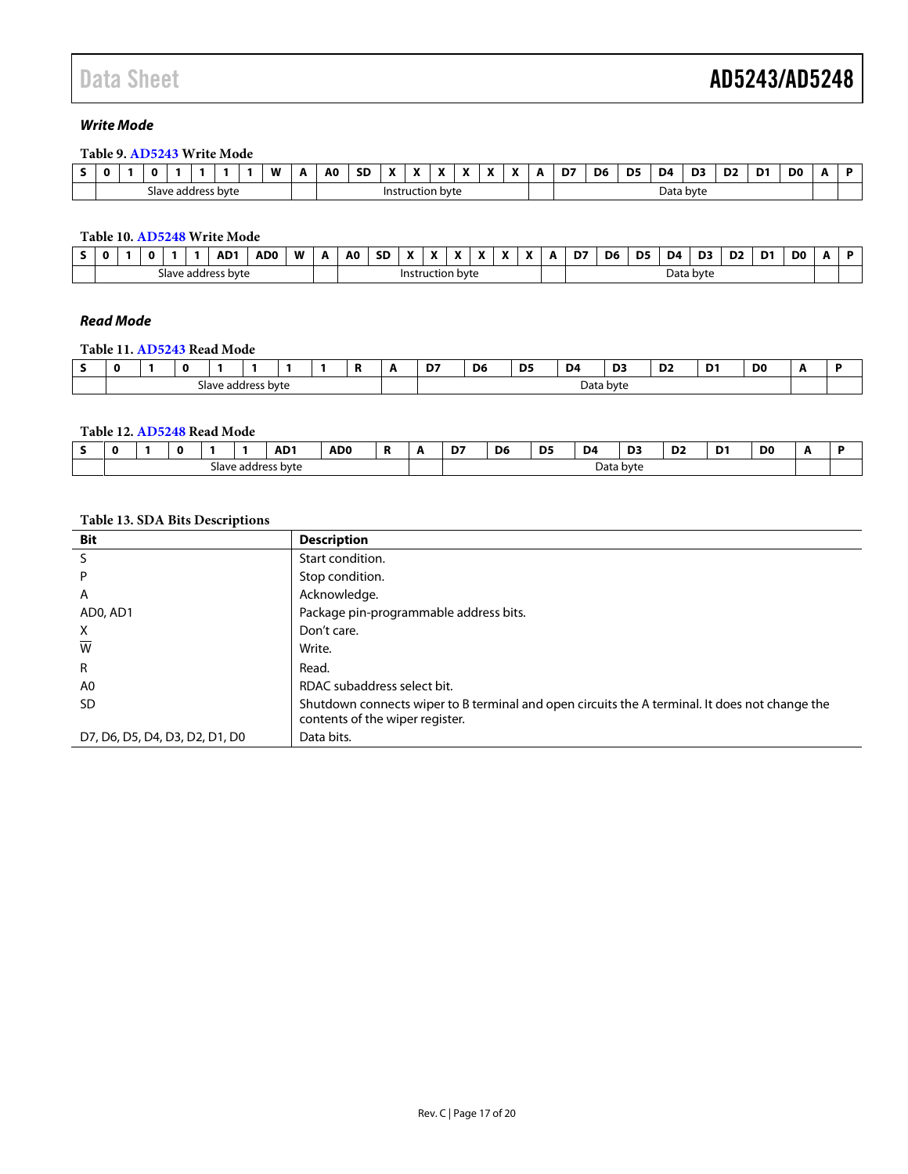### *Write Mode*

#### **Table 9[. AD5243](http://www.analog.com/AD5243?doc=AD5243_5248.pdf) Write Mode**

| - | $\mathbf 0$             |  | $\Omega$ |  |  |  |  | W | A | A0   | cr<br>שכ     | $\mathbf{v}$ | $\mathbf{v}$<br>£ | $\mathbf{r}$ | $\mathbf{v}$ | ۰. | А | D7<br>- | D6        | D5 | D4 | D3 | D <sub>2</sub> | D <sub>1</sub> | D <sub>0</sub> |  |
|---|-------------------------|--|----------|--|--|--|--|---|---|------|--------------|--------------|-------------------|--------------|--------------|----|---|---------|-----------|----|----|----|----------------|----------------|----------------|--|
|   | e address byte<br>- ave |  |          |  |  |  |  |   |   | Inst | ruction byte |              |                   |              |              |    |   |         | Data byte |    |    |    |                |                |                |  |

### **Table 10[. AD5248](http://www.analog.com/AD5248?doc=AD5243_5248.pdf) Write Mode**

|                                |  |  |  |  | AD <sup>1</sup> | <b>ADC</b> | W | А                | A <sub>0</sub> | <b>SD</b> | $\mathbf{v}$ | $\mathbf{v}$<br>Δ | $\mathbf{v}$<br> | $\mathbf{v}$ | $\overline{\phantom{a}}$<br>Λ | D7 | D6        | D <sub>5</sub> | D4 | D3 | D <sub>2</sub> | D <sup>1</sup> | D <sub>0</sub> | A |  |
|--------------------------------|--|--|--|--|-----------------|------------|---|------------------|----------------|-----------|--------------|-------------------|------------------|--------------|-------------------------------|----|-----------|----------------|----|----|----------------|----------------|----------------|---|--|
| address byte !<br><b>ave</b> د |  |  |  |  |                 |            |   | Instruction byte |                |           |              |                   |                  |              |                               |    | Data byte |                |    |    |                |                |                |   |  |

### *Read Mode*

#### **Table 11[. AD5243](http://www.analog.com/AD5243?doc=AD5243_5248.pdf) Read Mode**

|                                |  |  |  |  |  |  | Ð<br>n | . . | D7 | D <sub>6</sub> | D <sub>5</sub> | D4<br>the contract of the contract of | D3 | $\sim$<br>◡▴<br>the contract of the contract of | D.<br>- | D <sub>0</sub> |  |
|--------------------------------|--|--|--|--|--|--|--------|-----|----|----------------|----------------|---------------------------------------|----|-------------------------------------------------|---------|----------------|--|
| address byte !<br><b>Slave</b> |  |  |  |  |  |  |        |     |    | Data byte      |                |                                       |    |                                                 |         |                |  |

#### **Table 12[. AD5248](http://www.analog.com/AD5248?doc=AD5243_5248.pdf) Read Mode**

| O                         |  |  |  |  | AD <sub>1</sub><br>the contract of the contract of the | AD <sub>0</sub> |  | $-$<br>υ, | D <sub>6</sub><br>$\sim$ | D <sub>5</sub><br>$ -$ | D <sub>4</sub> | D3<br>___ | D <sub>2</sub><br>the contract of the contract of | n.<br>- | D <sub>0</sub> |  |
|---------------------------|--|--|--|--|--------------------------------------------------------|-----------------|--|-----------|--------------------------|------------------------|----------------|-----------|---------------------------------------------------|---------|----------------|--|
| ess byte<br>Slave address |  |  |  |  |                                                        |                 |  |           | Data byte                |                        |                |           |                                                   |         |                |  |

#### **Table 13. SDA Bits Descriptions**

| <b>Bit</b>                     | <b>Description</b>                                                                                                                |
|--------------------------------|-----------------------------------------------------------------------------------------------------------------------------------|
| S                              | Start condition.                                                                                                                  |
| P                              | Stop condition.                                                                                                                   |
| A                              | Acknowledge.                                                                                                                      |
| ADO, AD1                       | Package pin-programmable address bits.                                                                                            |
| X                              | Don't care.                                                                                                                       |
| W                              | Write.                                                                                                                            |
| R                              | Read.                                                                                                                             |
| A0                             | RDAC subaddress select bit.                                                                                                       |
| <b>SD</b>                      | Shutdown connects wiper to B terminal and open circuits the A terminal. It does not change the<br>contents of the wiper register. |
| D7, D6, D5, D4, D3, D2, D1, D0 | Data bits.                                                                                                                        |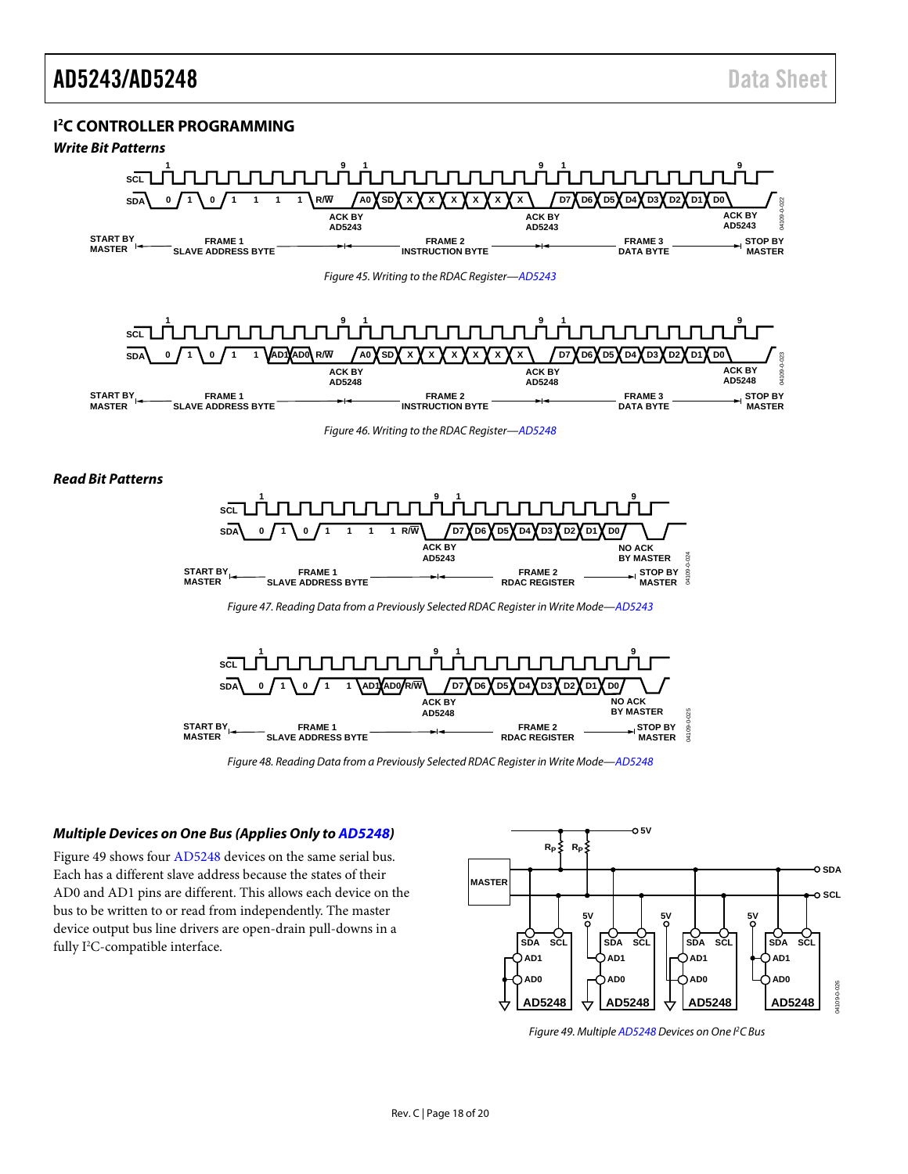### <span id="page-17-0"></span>**I 2 C CONTROLLER PROGRAMMING**

### *Write Bit Patterns*

<span id="page-17-3"></span><span id="page-17-1"></span>

*Figure 48. Reading Data from a Previously Selected RDAC Register in Write Mode[—AD5248](http://www.analog.com/AD5248?doc=AD5243_5248.pdf)*

**RDAC REGISTER**

#### <span id="page-17-2"></span>*Multiple Devices on One Bus (Applies Only t[o AD5248\)](http://www.analog.com/AD5248?doc=AD5243_5248.pdf)*

**SLAVE ADDRESS BYTE**

<span id="page-17-4"></span>**MASTER**

[Figure 49](#page-17-5) shows fou[r AD5248](http://www.analog.com/AD5248?doc=AD5243_5248.pdf) devices on the same serial bus. Each has a different slave address because the states of their AD0 and AD1 pins are different. This allows each device on the bus to be written to or read from independently. The master device output bus line drivers are open-drain pull-downs in a fully I<sup>2</sup>C-compatible interface.



**MASTER**

M109-

<span id="page-17-5"></span>*Figure 49. Multipl[e AD5248](http://www.analog.com/AD5248?doc=AD5243_5248.pdf) Devices on One I2 C Bus*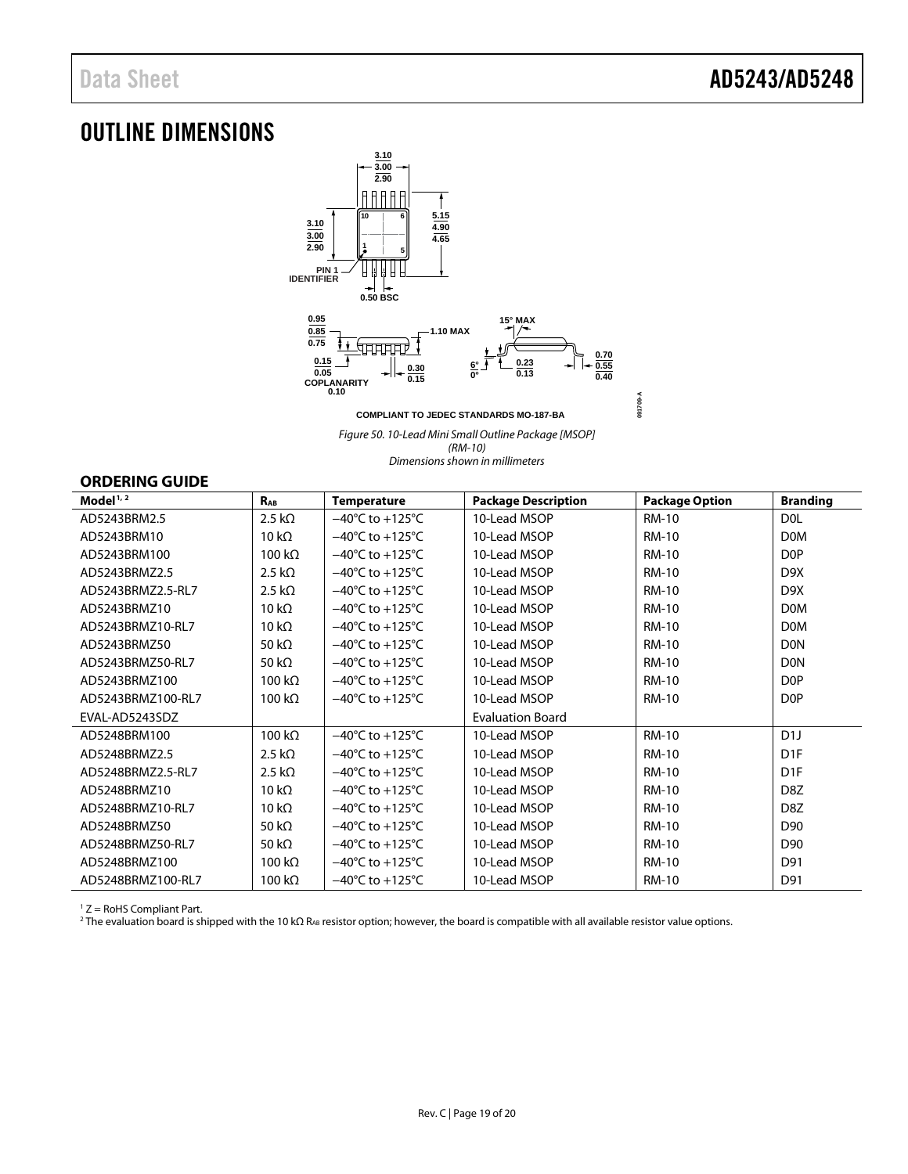### <span id="page-18-0"></span>OUTLINE DIMENSIONS



*Figure 50. 10-Lead Mini Small Outline Package [MSOP] (RM-10) Dimensions shown in millimeters*

### <span id="page-18-1"></span>**ORDERING GUIDE**

| Model $1/2$       | $R_{AB}$       | <b>Temperature</b>                  | <b>Package Description</b> | <b>Package Option</b> | <b>Branding</b>  |
|-------------------|----------------|-------------------------------------|----------------------------|-----------------------|------------------|
| AD5243BRM2.5      | $2.5 k\Omega$  | $-40^{\circ}$ C to $+125^{\circ}$ C | 10-Lead MSOP               | <b>RM-10</b>          | D <sub>0</sub> L |
| AD5243BRM10       | 10 k $\Omega$  | $-40^{\circ}$ C to $+125^{\circ}$ C | 10-Lead MSOP               | <b>RM-10</b>          | <b>DOM</b>       |
| AD5243BRM100      | 100 k $\Omega$ | $-40^{\circ}$ C to $+125^{\circ}$ C | 10-Lead MSOP               | <b>RM-10</b>          | D <sub>OP</sub>  |
| AD5243BRMZ2.5     | $2.5 k\Omega$  | $-40^{\circ}$ C to $+125^{\circ}$ C | 10-Lead MSOP               | <b>RM-10</b>          | D <sub>9</sub> X |
| AD5243BRMZ2.5-RL7 | $2.5 k\Omega$  | $-40^{\circ}$ C to $+125^{\circ}$ C | 10-Lead MSOP               | <b>RM-10</b>          | D <sub>9</sub> X |
| AD5243BRMZ10      | 10 k $\Omega$  | $-40^{\circ}$ C to $+125^{\circ}$ C | 10-Lead MSOP               | <b>RM-10</b>          | <b>DOM</b>       |
| AD5243BRMZ10-RL7  | 10 k $\Omega$  | $-40^{\circ}$ C to $+125^{\circ}$ C | 10-Lead MSOP               | <b>RM-10</b>          | <b>DOM</b>       |
| AD5243BRMZ50      | 50 k $\Omega$  | $-40^{\circ}$ C to $+125^{\circ}$ C | 10-Lead MSOP               | <b>RM-10</b>          | <b>DON</b>       |
| AD5243BRMZ50-RL7  | 50 k $\Omega$  | $-40^{\circ}$ C to $+125^{\circ}$ C | 10-Lead MSOP               | <b>RM-10</b>          | <b>DON</b>       |
| AD5243BRMZ100     | 100 k $\Omega$ | $-40^{\circ}$ C to $+125^{\circ}$ C | 10-Lead MSOP               | <b>RM-10</b>          | D <sub>OP</sub>  |
| AD5243BRMZ100-RL7 | 100 k $\Omega$ | $-40^{\circ}$ C to $+125^{\circ}$ C | 10-Lead MSOP               | <b>RM-10</b>          | D <sub>OP</sub>  |
| EVAL-AD5243SDZ    |                |                                     | <b>Evaluation Board</b>    |                       |                  |
| AD5248BRM100      | 100 $k\Omega$  | $-40^{\circ}$ C to $+125^{\circ}$ C | 10-Lead MSOP               | <b>RM-10</b>          | D1J              |
| AD5248BRMZ2.5     | $2.5 k\Omega$  | $-40^{\circ}$ C to $+125^{\circ}$ C | 10-Lead MSOP               | <b>RM-10</b>          | D <sub>1F</sub>  |
| AD5248BRMZ2.5-RL7 | 2.5 k $\Omega$ | $-40^{\circ}$ C to $+125^{\circ}$ C | 10-Lead MSOP               | <b>RM-10</b>          | D <sub>1F</sub>  |
| AD5248BRMZ10      | 10 $k\Omega$   | $-40^{\circ}$ C to $+125^{\circ}$ C | 10-Lead MSOP               | <b>RM-10</b>          | D <sub>8</sub> Z |
| AD5248BRMZ10-RL7  | 10 k $\Omega$  | $-40^{\circ}$ C to $+125^{\circ}$ C | 10-Lead MSOP               | RM-10                 | D <sub>8</sub> Z |
| AD5248BRMZ50      | 50 k $\Omega$  | $-40^{\circ}$ C to $+125^{\circ}$ C | 10-Lead MSOP               | <b>RM-10</b>          | D90              |
| AD5248BRMZ50-RL7  | 50 k $\Omega$  | $-40^{\circ}$ C to $+125^{\circ}$ C | 10-Lead MSOP               | <b>RM-10</b>          | D90              |
| AD5248BRMZ100     | 100 k $\Omega$ | $-40^{\circ}$ C to $+125^{\circ}$ C | 10-Lead MSOP               | <b>RM-10</b>          | D91              |
| AD5248BRMZ100-RL7 | 100 $k\Omega$  | $-40^{\circ}$ C to $+125^{\circ}$ C | 10-Lead MSOP               | <b>RM-10</b>          | D91              |

 $1 Z =$  RoHS Compliant Part.

<sup>2</sup> The evaluation board is shipped with the 10 kΩ R<sub>AB</sub> resistor option; however, the board is compatible with all available resistor value options.